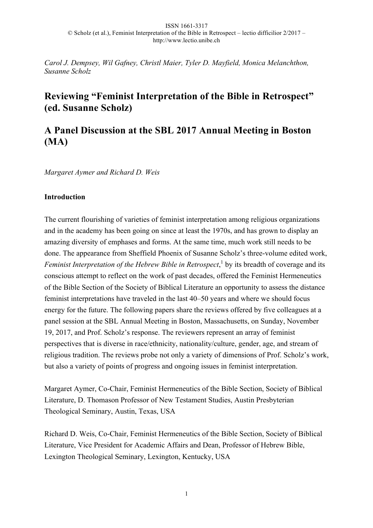*Carol J. Dempsey, Wil Gafney, Christl Maier, Tyler D. Mayfield, Monica Melanchthon, Susanne Scholz*

# **Reviewing "Feminist Interpretation of the Bible in Retrospect" (ed. Susanne Scholz)**

# **A Panel Discussion at the SBL 2017 Annual Meeting in Boston (MA)**

*Margaret Aymer and Richard D. Weis*

# **Introduction**

The current flourishing of varieties of feminist interpretation among religious organizations and in the academy has been going on since at least the 1970s, and has grown to display an amazing diversity of emphases and forms. At the same time, much work still needs to be done. The appearance from Sheffield Phoenix of Susanne Scholz's three-volume edited work, Feminist Interpretation of the Hebrew Bible in Retrospect,<sup>1</sup> by its breadth of coverage and its conscious attempt to reflect on the work of past decades, offered the Feminist Hermeneutics of the Bible Section of the Society of Biblical Literature an opportunity to assess the distance feminist interpretations have traveled in the last 40–50 years and where we should focus energy for the future. The following papers share the reviews offered by five colleagues at a panel session at the SBL Annual Meeting in Boston, Massachusetts, on Sunday, November 19, 2017, and Prof. Scholz's response. The reviewers represent an array of feminist perspectives that is diverse in race/ethnicity, nationality/culture, gender, age, and stream of religious tradition. The reviews probe not only a variety of dimensions of Prof. Scholz's work, but also a variety of points of progress and ongoing issues in feminist interpretation.

Margaret Aymer, Co-Chair, Feminist Hermeneutics of the Bible Section, Society of Biblical Literature, D. Thomason Professor of New Testament Studies, Austin Presbyterian Theological Seminary, Austin, Texas, USA

Richard D. Weis, Co-Chair, Feminist Hermeneutics of the Bible Section, Society of Biblical Literature, Vice President for Academic Affairs and Dean, Professor of Hebrew Bible, Lexington Theological Seminary, Lexington, Kentucky, USA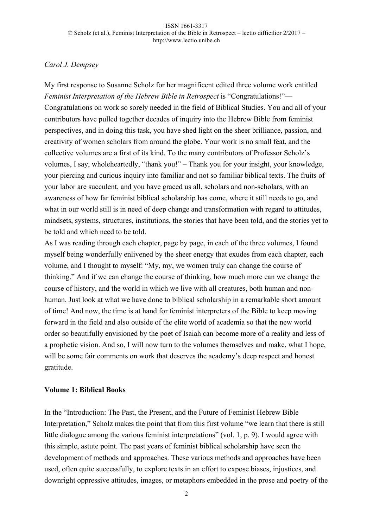# *Carol J. Dempsey*

My first response to Susanne Scholz for her magnificent edited three volume work entitled *Feminist Interpretation of the Hebrew Bible in Retrospect* is "Congratulations!"— Congratulations on work so sorely needed in the field of Biblical Studies. You and all of your contributors have pulled together decades of inquiry into the Hebrew Bible from feminist perspectives, and in doing this task, you have shed light on the sheer brilliance, passion, and creativity of women scholars from around the globe. Your work is no small feat, and the collective volumes are a first of its kind. To the many contributors of Professor Scholz's volumes, I say, wholeheartedly, "thank you!" – Thank you for your insight, your knowledge, your piercing and curious inquiry into familiar and not so familiar biblical texts. The fruits of your labor are succulent, and you have graced us all, scholars and non-scholars, with an awareness of how far feminist biblical scholarship has come, where it still needs to go, and what in our world still is in need of deep change and transformation with regard to attitudes, mindsets, systems, structures, institutions, the stories that have been told, and the stories yet to be told and which need to be told.

As I was reading through each chapter, page by page, in each of the three volumes, I found myself being wonderfully enlivened by the sheer energy that exudes from each chapter, each volume, and I thought to myself: "My, my, we women truly can change the course of thinking." And if we can change the course of thinking, how much more can we change the course of history, and the world in which we live with all creatures, both human and nonhuman. Just look at what we have done to biblical scholarship in a remarkable short amount of time! And now, the time is at hand for feminist interpreters of the Bible to keep moving forward in the field and also outside of the elite world of academia so that the new world order so beautifully envisioned by the poet of Isaiah can become more of a reality and less of a prophetic vision. And so, I will now turn to the volumes themselves and make, what I hope, will be some fair comments on work that deserves the academy's deep respect and honest gratitude.

# **Volume 1: Biblical Books**

In the "Introduction: The Past, the Present, and the Future of Feminist Hebrew Bible Interpretation," Scholz makes the point that from this first volume "we learn that there is still little dialogue among the various feminist interpretations" (vol. 1, p. 9). I would agree with this simple, astute point. The past years of feminist biblical scholarship have seen the development of methods and approaches. These various methods and approaches have been used, often quite successfully, to explore texts in an effort to expose biases, injustices, and downright oppressive attitudes, images, or metaphors embedded in the prose and poetry of the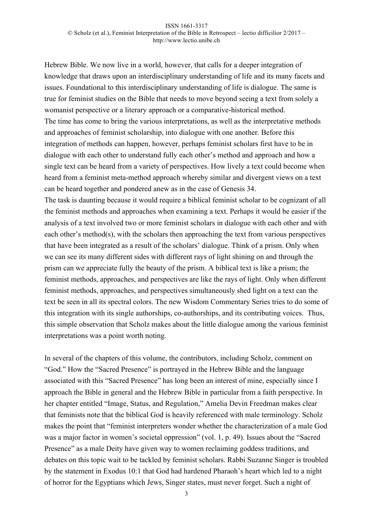Hebrew Bible. We now live in a world, however, that calls for a deeper integration of knowledge that draws upon an interdisciplinary understanding of life and its many facets and issues. Foundational to this interdisciplinary understanding of life is dialogue. The same is true for feminist studies on the Bible that needs to move beyond seeing a text from solely a womanist perspective or a literary approach or a comparative-historical method. The time has come to bring the various interpretations, as well as the interpretative methods and approaches of feminist scholarship, into dialogue with one another. Before this integration of methods can happen, however, perhaps feminist scholars first have to be in dialogue with each other to understand fully each other's method and approach and how a single text can be heard from a variety of perspectives. How lively a text could become when heard from a feminist meta-method approach whereby similar and divergent views on a text can be heard together and pondered anew as in the case of Genesis 34.

The task is daunting because it would require a biblical feminist scholar to be cognizant of all the feminist methods and approaches when examining a text. Perhaps it would be easier if the analysis of a text involved two or more feminist scholars in dialogue with each other and with each other's method(s), with the scholars then approaching the text from various perspectives that have been integrated as a result of the scholars' dialogue. Think of a prism. Only when we can see its many different sides with different rays of light shining on and through the prism can we appreciate fully the beauty of the prism. A biblical text is like a prism; the feminist methods, approaches, and perspectives are like the rays of light. Only when different feminist methods, approaches, and perspectives simultaneously shed light on a text can the text be seen in all its spectral colors. The new Wisdom Commentary Series tries to do some of this integration with its single authorships, co-authorships, and its contributing voices. Thus, this simple observation that Scholz makes about the little dialogue among the various feminist interpretations was a point worth noting.

In several of the chapters of this volume, the contributors, including Scholz, comment on "God." How the "Sacred Presence" is portrayed in the Hebrew Bible and the language associated with this "Sacred Presence" has long been an interest of mine, especially since I approach the Bible in general and the Hebrew Bible in particular from a faith perspective. In her chapter entitled "Image, Status, and Regulation," Amelia Devin Freedman makes clear that feminists note that the biblical God is heavily referenced with male terminology. Scholz makes the point that "feminist interpreters wonder whether the characterization of a male God was a major factor in women's societal oppression" (vol. 1, p. 49). Issues about the "Sacred Presence" as a male Deity have given way to women reclaiming goddess traditions, and debates on this topic wait to be tackled by feminist scholars. Rabbi Suzanne Singer is troubled by the statement in Exodus 10:1 that God had hardened Pharaoh's heart which led to a night of horror for the Egyptians which Jews, Singer states, must never forget. Such a night of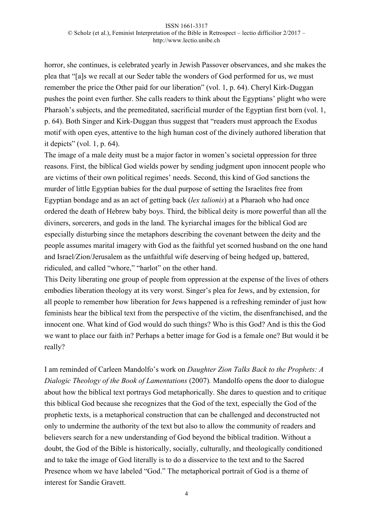horror, she continues, is celebrated yearly in Jewish Passover observances, and she makes the plea that "[a]s we recall at our Seder table the wonders of God performed for us, we must remember the price the Other paid for our liberation" (vol. 1, p. 64). Cheryl Kirk-Duggan pushes the point even further. She calls readers to think about the Egyptians' plight who were Pharaoh's subjects, and the premeditated, sacrificial murder of the Egyptian first born (vol. 1, p. 64). Both Singer and Kirk-Duggan thus suggest that "readers must approach the Exodus motif with open eyes, attentive to the high human cost of the divinely authored liberation that it depicts" (vol. 1, p. 64).

The image of a male deity must be a major factor in women's societal oppression for three reasons. First, the biblical God wields power by sending judgment upon innocent people who are victims of their own political regimes' needs. Second, this kind of God sanctions the murder of little Egyptian babies for the dual purpose of setting the Israelites free from Egyptian bondage and as an act of getting back (*lex talionis*) at a Pharaoh who had once ordered the death of Hebrew baby boys. Third, the biblical deity is more powerful than all the diviners, sorcerers, and gods in the land. The kyriarchal images for the biblical God are especially disturbing since the metaphors describing the covenant between the deity and the people assumes marital imagery with God as the faithful yet scorned husband on the one hand and Israel/Zion/Jerusalem as the unfaithful wife deserving of being hedged up, battered, ridiculed, and called "whore," "harlot" on the other hand.

This Deity liberating one group of people from oppression at the expense of the lives of others embodies liberation theology at its very worst. Singer's plea for Jews, and by extension, for all people to remember how liberation for Jews happened is a refreshing reminder of just how feminists hear the biblical text from the perspective of the victim, the disenfranchised, and the innocent one. What kind of God would do such things? Who is this God? And is this the God we want to place our faith in? Perhaps a better image for God is a female one? But would it be really?

I am reminded of Carleen Mandolfo's work on *Daughter Zion Talks Back to the Prophets: A Dialogic Theology of the Book of Lamentations* (2007)*.* Mandolfo opens the door to dialogue about how the biblical text portrays God metaphorically. She dares to question and to critique this biblical God because she recognizes that the God of the text, especially the God of the prophetic texts, is a metaphorical construction that can be challenged and deconstructed not only to undermine the authority of the text but also to allow the community of readers and believers search for a new understanding of God beyond the biblical tradition. Without a doubt, the God of the Bible is historically, socially, culturally, and theologically conditioned and to take the image of God literally is to do a disservice to the text and to the Sacred Presence whom we have labeled "God." The metaphorical portrait of God is a theme of interest for Sandie Gravett.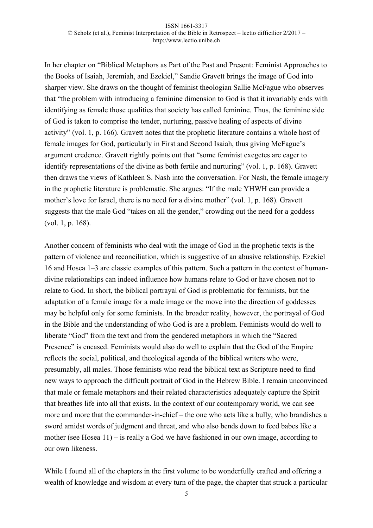In her chapter on "Biblical Metaphors as Part of the Past and Present: Feminist Approaches to the Books of Isaiah, Jeremiah, and Ezekiel," Sandie Gravett brings the image of God into sharper view. She draws on the thought of feminist theologian Sallie McFague who observes that "the problem with introducing a feminine dimension to God is that it invariably ends with identifying as female those qualities that society has called feminine. Thus, the feminine side of God is taken to comprise the tender, nurturing, passive healing of aspects of divine activity" (vol. 1, p. 166). Gravett notes that the prophetic literature contains a whole host of female images for God, particularly in First and Second Isaiah, thus giving McFague's argument credence. Gravett rightly points out that "some feminist exegetes are eager to identify representations of the divine as both fertile and nurturing" (vol. 1, p. 168). Gravett then draws the views of Kathleen S. Nash into the conversation. For Nash, the female imagery in the prophetic literature is problematic. She argues: "If the male YHWH can provide a mother's love for Israel, there is no need for a divine mother" (vol. 1, p. 168). Gravett suggests that the male God "takes on all the gender," crowding out the need for a goddess (vol. 1, p. 168).

Another concern of feminists who deal with the image of God in the prophetic texts is the pattern of violence and reconciliation, which is suggestive of an abusive relationship. Ezekiel 16 and Hosea 1–3 are classic examples of this pattern. Such a pattern in the context of humandivine relationships can indeed influence how humans relate to God or have chosen not to relate to God. In short, the biblical portrayal of God is problematic for feminists, but the adaptation of a female image for a male image or the move into the direction of goddesses may be helpful only for some feminists. In the broader reality, however, the portrayal of God in the Bible and the understanding of who God is are a problem. Feminists would do well to liberate "God" from the text and from the gendered metaphors in which the "Sacred Presence" is encased. Feminists would also do well to explain that the God of the Empire reflects the social, political, and theological agenda of the biblical writers who were, presumably, all males. Those feminists who read the biblical text as Scripture need to find new ways to approach the difficult portrait of God in the Hebrew Bible. I remain unconvinced that male or female metaphors and their related characteristics adequately capture the Spirit that breathes life into all that exists. In the context of our contemporary world, we can see more and more that the commander-in-chief – the one who acts like a bully, who brandishes a sword amidst words of judgment and threat, and who also bends down to feed babes like a mother (see Hosea 11) – is really a God we have fashioned in our own image, according to our own likeness.

While I found all of the chapters in the first volume to be wonderfully crafted and offering a wealth of knowledge and wisdom at every turn of the page, the chapter that struck a particular

5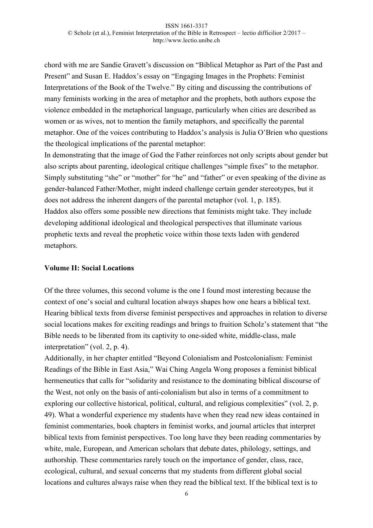chord with me are Sandie Gravett's discussion on "Biblical Metaphor as Part of the Past and Present" and Susan E. Haddox's essay on "Engaging Images in the Prophets: Feminist Interpretations of the Book of the Twelve." By citing and discussing the contributions of many feminists working in the area of metaphor and the prophets, both authors expose the violence embedded in the metaphorical language, particularly when cities are described as women or as wives, not to mention the family metaphors, and specifically the parental metaphor. One of the voices contributing to Haddox's analysis is Julia O'Brien who questions the theological implications of the parental metaphor:

In demonstrating that the image of God the Father reinforces not only scripts about gender but also scripts about parenting, ideological critique challenges "simple fixes" to the metaphor. Simply substituting "she" or "mother" for "he" and "father" or even speaking of the divine as gender-balanced Father/Mother, might indeed challenge certain gender stereotypes, but it does not address the inherent dangers of the parental metaphor (vol. 1, p. 185). Haddox also offers some possible new directions that feminists might take. They include developing additional ideological and theological perspectives that illuminate various prophetic texts and reveal the prophetic voice within those texts laden with gendered metaphors.

### **Volume II: Social Locations**

Of the three volumes, this second volume is the one I found most interesting because the context of one's social and cultural location always shapes how one hears a biblical text. Hearing biblical texts from diverse feminist perspectives and approaches in relation to diverse social locations makes for exciting readings and brings to fruition Scholz's statement that "the Bible needs to be liberated from its captivity to one-sided white, middle-class, male interpretation" (vol. 2, p. 4).

Additionally, in her chapter entitled "Beyond Colonialism and Postcolonialism: Feminist Readings of the Bible in East Asia," Wai Ching Angela Wong proposes a feminist biblical hermeneutics that calls for "solidarity and resistance to the dominating biblical discourse of the West, not only on the basis of anti-colonialism but also in terms of a commitment to exploring our collective historical, political, cultural, and religious complexities" (vol. 2, p. 49). What a wonderful experience my students have when they read new ideas contained in feminist commentaries, book chapters in feminist works, and journal articles that interpret biblical texts from feminist perspectives. Too long have they been reading commentaries by white, male, European, and American scholars that debate dates, philology, settings, and authorship. These commentaries rarely touch on the importance of gender, class, race, ecological, cultural, and sexual concerns that my students from different global social locations and cultures always raise when they read the biblical text. If the biblical text is to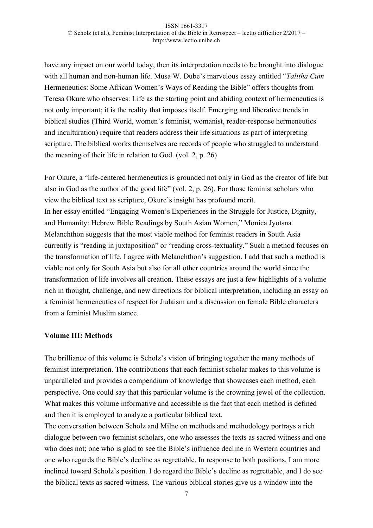have any impact on our world today, then its interpretation needs to be brought into dialogue with all human and non-human life. Musa W. Dube's marvelous essay entitled "*Talitha Cum* Hermeneutics: Some African Women's Ways of Reading the Bible" offers thoughts from Teresa Okure who observes: Life as the starting point and abiding context of hermeneutics is not only important; it is the reality that imposes itself. Emerging and liberative trends in biblical studies (Third World, women's feminist, womanist, reader-response hermeneutics and inculturation) require that readers address their life situations as part of interpreting scripture. The biblical works themselves are records of people who struggled to understand the meaning of their life in relation to God. (vol. 2, p. 26)

For Okure, a "life-centered hermeneutics is grounded not only in God as the creator of life but also in God as the author of the good life" (vol. 2, p. 26). For those feminist scholars who view the biblical text as scripture, Okure's insight has profound merit. In her essay entitled "Engaging Women's Experiences in the Struggle for Justice, Dignity, and Humanity: Hebrew Bible Readings by South Asian Women," Monica Jyotsna Melanchthon suggests that the most viable method for feminist readers in South Asia currently is "reading in juxtaposition" or "reading cross-textuality." Such a method focuses on the transformation of life. I agree with Melanchthon's suggestion. I add that such a method is viable not only for South Asia but also for all other countries around the world since the transformation of life involves all creation. These essays are just a few highlights of a volume rich in thought, challenge, and new directions for biblical interpretation, including an essay on a feminist hermeneutics of respect for Judaism and a discussion on female Bible characters from a feminist Muslim stance.

# **Volume III: Methods**

The brilliance of this volume is Scholz's vision of bringing together the many methods of feminist interpretation. The contributions that each feminist scholar makes to this volume is unparalleled and provides a compendium of knowledge that showcases each method, each perspective. One could say that this particular volume is the crowning jewel of the collection. What makes this volume informative and accessible is the fact that each method is defined and then it is employed to analyze a particular biblical text.

The conversation between Scholz and Milne on methods and methodology portrays a rich dialogue between two feminist scholars, one who assesses the texts as sacred witness and one who does not; one who is glad to see the Bible's influence decline in Western countries and one who regards the Bible's decline as regrettable. In response to both positions, I am more inclined toward Scholz's position. I do regard the Bible's decline as regrettable, and I do see the biblical texts as sacred witness. The various biblical stories give us a window into the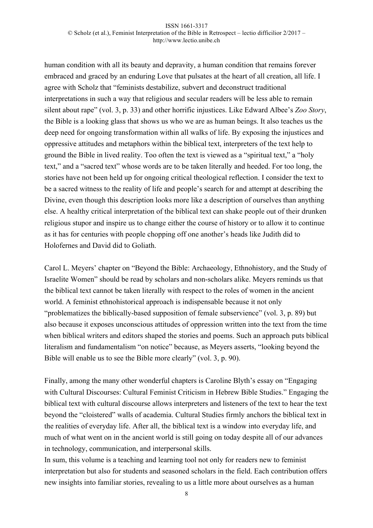human condition with all its beauty and depravity, a human condition that remains forever embraced and graced by an enduring Love that pulsates at the heart of all creation, all life. I agree with Scholz that "feminists destabilize, subvert and deconstruct traditional interpretations in such a way that religious and secular readers will be less able to remain silent about rape" (vol. 3, p. 33) and other horrific injustices. Like Edward Albee's *Zoo Story*, the Bible is a looking glass that shows us who we are as human beings. It also teaches us the deep need for ongoing transformation within all walks of life. By exposing the injustices and oppressive attitudes and metaphors within the biblical text, interpreters of the text help to ground the Bible in lived reality. Too often the text is viewed as a "spiritual text," a "holy text," and a "sacred text" whose words are to be taken literally and heeded. For too long, the stories have not been held up for ongoing critical theological reflection. I consider the text to be a sacred witness to the reality of life and people's search for and attempt at describing the Divine, even though this description looks more like a description of ourselves than anything else. A healthy critical interpretation of the biblical text can shake people out of their drunken religious stupor and inspire us to change either the course of history or to allow it to continue as it has for centuries with people chopping off one another's heads like Judith did to Holofernes and David did to Goliath.

Carol L. Meyers' chapter on "Beyond the Bible: Archaeology, Ethnohistory, and the Study of Israelite Women" should be read by scholars and non-scholars alike. Meyers reminds us that the biblical text cannot be taken literally with respect to the roles of women in the ancient world. A feminist ethnohistorical approach is indispensable because it not only "problematizes the biblically-based supposition of female subservience" (vol. 3, p. 89) but also because it exposes unconscious attitudes of oppression written into the text from the time when biblical writers and editors shaped the stories and poems. Such an approach puts biblical literalism and fundamentalism "on notice" because, as Meyers asserts, "looking beyond the Bible will enable us to see the Bible more clearly" (vol. 3, p. 90).

Finally, among the many other wonderful chapters is Caroline Blyth's essay on "Engaging with Cultural Discourses: Cultural Feminist Criticism in Hebrew Bible Studies." Engaging the biblical text with cultural discourse allows interpreters and listeners of the text to hear the text beyond the "cloistered" walls of academia. Cultural Studies firmly anchors the biblical text in the realities of everyday life. After all, the biblical text is a window into everyday life, and much of what went on in the ancient world is still going on today despite all of our advances in technology, communication, and interpersonal skills.

In sum, this volume is a teaching and learning tool not only for readers new to feminist interpretation but also for students and seasoned scholars in the field. Each contribution offers new insights into familiar stories, revealing to us a little more about ourselves as a human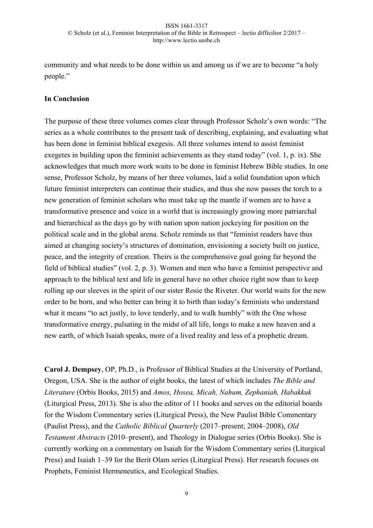community and what needs to be done within us and among us if we are to become "a holy people."

# **In Conclusion**

The purpose of these three volumes comes clear through Professor Scholz's own words: "The series as a whole contributes to the present task of describing, explaining, and evaluating what has been done in feminist biblical exegesis. All three volumes intend to assist feminist exegetes in building upon the feminist achievements as they stand today" (vol. 1, p. ix). She acknowledges that much more work waits to be done in feminist Hebrew Bible studies. In one sense, Professor Scholz, by means of her three volumes, laid a solid foundation upon which future feminist interpreters can continue their studies, and thus she now passes the torch to a new generation of feminist scholars who must take up the mantle if women are to have a transformative presence and voice in a world that is increasingly growing more patriarchal and hierarchical as the days go by with nation upon nation jockeying for position on the political scale and in the global arena. Scholz reminds us that "feminist readers have thus aimed at changing society's structures of domination, envisioning a society built on justice, peace, and the integrity of creation. Theirs is the comprehensive goal going far beyond the field of biblical studies" (vol. 2, p. 3). Women and men who have a feminist perspective and approach to the biblical text and life in general have no other choice right now than to keep rolling up our sleeves in the spirit of our sister Rosie the Riveter. Our world waits for the new order to be born, and who better can bring it to birth than today's feminists who understand what it means "to act justly, to love tenderly, and to walk humbly" with the One whose transformative energy, pulsating in the midst of all life, longs to make a new heaven and a new earth, of which Isaiah speaks, more of a lived reality and less of a prophetic dream.

**Carol J. Dempsey**, OP, Ph.D., is Professor of Biblical Studies at the University of Portland, Oregon, USA. She is the author of eight books, the latest of which includes *The Bible and Literature* (Orbis Books, 2015) and *Amos, Hosea, Micah, Nahum, Zephaniah, Habakkuk* (Liturgical Press, 2013). She is also the editor of 11 books and serves on the editorial boards for the Wisdom Commentary series (Liturgical Press), the New Paulist Bible Commentary (Paulist Press), and the *Catholic Biblical Quarterly* (2017–present; 2004–2008), *Old Testament Abstracts* (2010–present), and Theology in Dialogue series (Orbis Books). She is currently working on a commentary on Isaiah for the Wisdom Commentary series (Liturgical Press) and Isaiah 1–39 for the Berit Olam series (Liturgical Press). Her research focuses on Prophets, Feminist Hermeneutics, and Ecological Studies.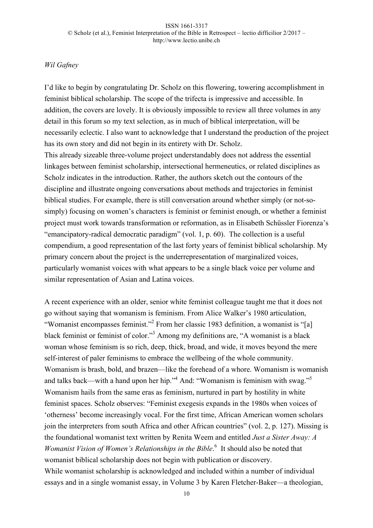### *Wil Gafney*

I'd like to begin by congratulating Dr. Scholz on this flowering, towering accomplishment in feminist biblical scholarship. The scope of the trifecta is impressive and accessible. In addition, the covers are lovely. It is obviously impossible to review all three volumes in any detail in this forum so my text selection, as in much of biblical interpretation, will be necessarily eclectic. I also want to acknowledge that I understand the production of the project has its own story and did not begin in its entirety with Dr. Scholz. This already sizeable three-volume project understandably does not address the essential linkages between feminist scholarship, intersectional hermeneutics, or related disciplines as Scholz indicates in the introduction. Rather, the authors sketch out the contours of the discipline and illustrate ongoing conversations about methods and trajectories in feminist biblical studies. For example, there is still conversation around whether simply (or not-sosimply) focusing on women's characters is feminist or feminist enough, or whether a feminist project must work towards transformation or reformation, as in Elisabeth Schüssler Fiorenza's "emancipatory-radical democratic paradigm" (vol. 1, p. 60). The collection is a useful compendium, a good representation of the last forty years of feminist biblical scholarship. My primary concern about the project is the underrepresentation of marginalized voices, particularly womanist voices with what appears to be a single black voice per volume and similar representation of Asian and Latina voices.

A recent experience with an older, senior white feminist colleague taught me that it does not go without saying that womanism is feminism. From Alice Walker's 1980 articulation, "Womanist encompasses feminist."2 From her classic 1983 definition, a womanist is "[a] black feminist or feminist of color."3 Among my definitions are, "A womanist is a black woman whose feminism is so rich, deep, thick, broad, and wide, it moves beyond the mere self-interest of paler feminisms to embrace the wellbeing of the whole community. Womanism is brash, bold, and brazen—like the forehead of a whore. Womanism is womanish and talks back—with a hand upon her hip."<sup>4</sup> And: "Womanism is feminism with swag."<sup>5</sup> Womanism hails from the same eras as feminism, nurtured in part by hostility in white feminist spaces. Scholz observes: "Feminist exegesis expands in the 1980s when voices of 'otherness' become increasingly vocal. For the first time, African American women scholars join the interpreters from south Africa and other African countries" (vol. 2, p. 127). Missing is the foundational womanist text written by Renita Weem and entitled *Just a Sister Away: A*  Womanist Vision of Women's Relationships in the Bible.<sup>6</sup> It should also be noted that womanist biblical scholarship does not begin with publication or discovery. While womanist scholarship is acknowledged and included within a number of individual essays and in a single womanist essay, in Volume 3 by Karen Fletcher-Baker—a theologian,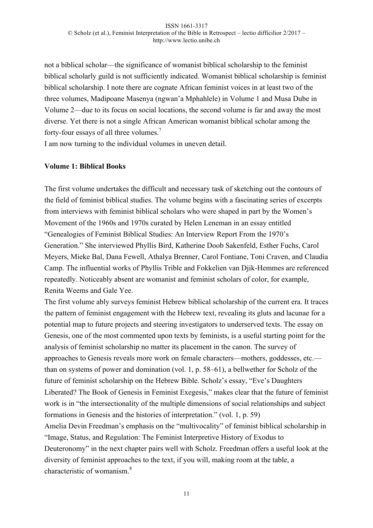not a biblical scholar—the significance of womanist biblical scholarship to the feminist biblical scholarly guild is not sufficiently indicated. Womanist biblical scholarship is feminist biblical scholarship. I note there are cognate African feminist voices in at least two of the three volumes, Madipoane Masenya (ngwan'a Mphahlele) in Volume 1 and Musa Dube in Volume 2—due to its focus on social locations, the second volume is far and away the most diverse. Yet there is not a single African American womanist biblical scholar among the forty-four essays of all three volumes.<sup>7</sup>

I am now turning to the individual volumes in uneven detail.

### **Volume 1: Biblical Books**

The first volume undertakes the difficult and necessary task of sketching out the contours of the field of feminist biblical studies. The volume begins with a fascinating series of excerpts from interviews with feminist biblical scholars who were shaped in part by the Women's Movement of the 1960s and 1970s curated by Helen Leneman in an essay entitled "Genealogies of Feminist Biblical Studies: An Interview Report From the 1970's Generation." She interviewed Phyllis Bird, Katherine Doob Sakenfeld, Esther Fuchs, Carol Meyers, Mieke Bal, Dana Fewell, Athalya Brenner, Carol Fontiane, Toni Craven, and Claudia Camp. The influential works of Phyllis Trible and Fokkelien van Djik-Hemmes are referenced repeatedly. Noticeably absent are womanist and feminist scholars of color, for example, Renita Weems and Gale Yee.

The first volume ably surveys feminist Hebrew biblical scholarship of the current era. It traces the pattern of feminist engagement with the Hebrew text, revealing its gluts and lacunae for a potential map to future projects and steering investigators to underserved texts. The essay on Genesis, one of the most commented upon texts by feminists, is a useful starting point for the analysis of feminist scholarship no matter its placement in the canon. The survey of approaches to Genesis reveals more work on female characters—mothers, goddesses, etc. than on systems of power and domination (vol. 1, p. 58–61), a bellwether for Scholz of the future of feminist scholarship on the Hebrew Bible. Scholz's essay, "Eve's Daughters Liberated? The Book of Genesis in Feminist Exegesis," makes clear that the future of feminist work is in "the intersectionality of the multiple dimensions of social relationships and subject formations in Genesis and the histories of interpretation." (vol. 1, p. 59) Amelia Devin Freedman's emphasis on the "multivocality" of feminist biblical scholarship in "Image, Status, and Regulation: The Feminist Interpretive History of Exodus to

Deuteronomy" in the next chapter pairs well with Scholz. Freedman offers a useful look at the diversity of feminist approaches to the text, if you will, making room at the table, a characteristic of womanism  $8$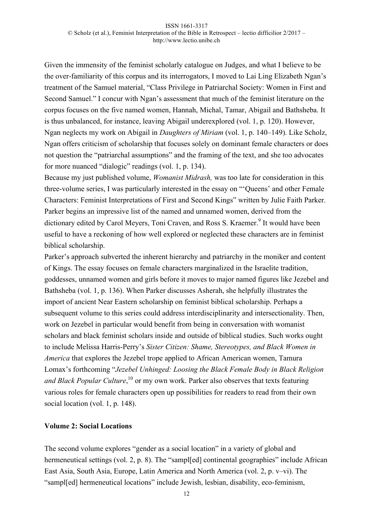Given the immensity of the feminist scholarly catalogue on Judges, and what I believe to be the over-familiarity of this corpus and its interrogators, I moved to Lai Ling Elizabeth Ngan's treatment of the Samuel material, "Class Privilege in Patriarchal Society: Women in First and Second Samuel." I concur with Ngan's assessment that much of the feminist literature on the corpus focuses on the five named women, Hannah, Michal, Tamar, Abigail and Bathsheba. It is thus unbalanced, for instance, leaving Abigail underexplored (vol. 1, p. 120). However, Ngan neglects my work on Abigail in *Daughters of Miriam* (vol. 1, p. 140–149). Like Scholz, Ngan offers criticism of scholarship that focuses solely on dominant female characters or does not question the "patriarchal assumptions" and the framing of the text, and she too advocates for more nuanced "dialogic" readings (vol. 1, p. 134).

Because my just published volume, *Womanist Midrash,* was too late for consideration in this three-volume series, I was particularly interested in the essay on "'Queens' and other Female Characters: Feminist Interpretations of First and Second Kings" written by Julie Faith Parker. Parker begins an impressive list of the named and unnamed women, derived from the dictionary edited by Carol Meyers, Toni Craven, and Ross S. Kraemer.<sup>9</sup> It would have been useful to have a reckoning of how well explored or neglected these characters are in feminist biblical scholarship.

Parker's approach subverted the inherent hierarchy and patriarchy in the moniker and content of Kings. The essay focuses on female characters marginalized in the Israelite tradition, goddesses, unnamed women and girls before it moves to major named figures like Jezebel and Bathsheba (vol. 1, p. 136). When Parker discusses Asherah, she helpfully illustrates the import of ancient Near Eastern scholarship on feminist biblical scholarship. Perhaps a subsequent volume to this series could address interdisciplinarity and intersectionality. Then, work on Jezebel in particular would benefit from being in conversation with womanist scholars and black feminist scholars inside and outside of biblical studies. Such works ought to include Melissa Harris-Perry's *Sister Citizen: Shame, Stereotypes, and Black Women in America* that explores the Jezebel trope applied to African American women, Tamura Lomax's forthcoming "*Jezebel Unhinged: Loosing the Black Female Body in Black Religion*  and Black Popular Culture,<sup>10</sup> or my own work. Parker also observes that texts featuring various roles for female characters open up possibilities for readers to read from their own social location (vol. 1, p. 148).

### **Volume 2: Social Locations**

The second volume explores "gender as a social location" in a variety of global and hermeneutical settings (vol. 2, p. 8). The "sampled] continental geographies" include African East Asia, South Asia, Europe, Latin America and North America (vol. 2, p. v–vi). The "sampl[ed] hermeneutical locations" include Jewish, lesbian, disability, eco-feminism,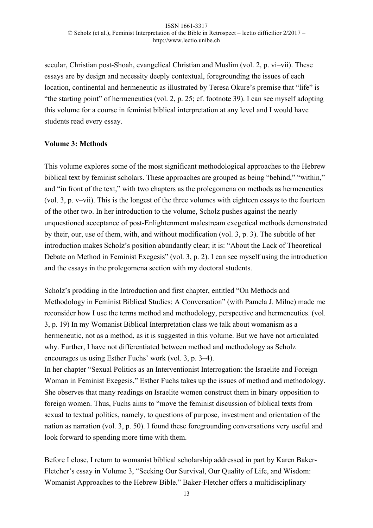secular, Christian post-Shoah, evangelical Christian and Muslim (vol. 2, p. vi–vii). These essays are by design and necessity deeply contextual, foregrounding the issues of each location, continental and hermeneutic as illustrated by Teresa Okure's premise that "life" is "the starting point" of hermeneutics (vol. 2, p. 25; cf. footnote 39). I can see myself adopting this volume for a course in feminist biblical interpretation at any level and I would have students read every essay.

# **Volume 3: Methods**

This volume explores some of the most significant methodological approaches to the Hebrew biblical text by feminist scholars. These approaches are grouped as being "behind," "within," and "in front of the text," with two chapters as the prolegomena on methods as hermeneutics (vol. 3, p. v–vii). This is the longest of the three volumes with eighteen essays to the fourteen of the other two. In her introduction to the volume, Scholz pushes against the nearly unquestioned acceptance of post-Enlightenment malestream exegetical methods demonstrated by their, our, use of them, with, and without modification (vol. 3, p. 3). The subtitle of her introduction makes Scholz's position abundantly clear; it is: "About the Lack of Theoretical Debate on Method in Feminist Exegesis" (vol. 3, p. 2). I can see myself using the introduction and the essays in the prolegomena section with my doctoral students.

Scholz's prodding in the Introduction and first chapter, entitled "On Methods and Methodology in Feminist Biblical Studies: A Conversation" (with Pamela J. Milne) made me reconsider how I use the terms method and methodology, perspective and hermeneutics. (vol. 3, p. 19) In my Womanist Biblical Interpretation class we talk about womanism as a hermeneutic, not as a method, as it is suggested in this volume. But we have not articulated why. Further, I have not differentiated between method and methodology as Scholz encourages us using Esther Fuchs' work (vol. 3, p. 3–4).

In her chapter "Sexual Politics as an Interventionist Interrogation: the Israelite and Foreign Woman in Feminist Exegesis," Esther Fuchs takes up the issues of method and methodology. She observes that many readings on Israelite women construct them in binary opposition to foreign women. Thus, Fuchs aims to "move the feminist discussion of biblical texts from sexual to textual politics, namely, to questions of purpose, investment and orientation of the nation as narration (vol. 3, p. 50). I found these foregrounding conversations very useful and look forward to spending more time with them.

Before I close, I return to womanist biblical scholarship addressed in part by Karen Baker-Fletcher's essay in Volume 3, "Seeking Our Survival, Our Quality of Life, and Wisdom: Womanist Approaches to the Hebrew Bible." Baker-Fletcher offers a multidisciplinary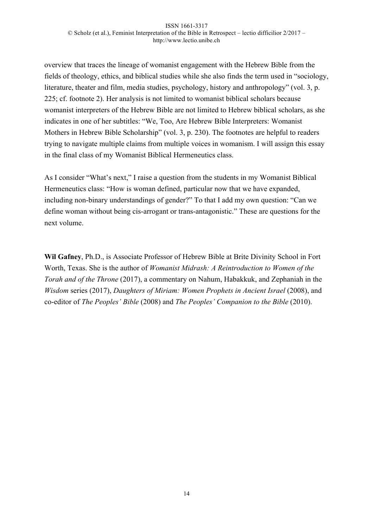overview that traces the lineage of womanist engagement with the Hebrew Bible from the fields of theology, ethics, and biblical studies while she also finds the term used in "sociology, literature, theater and film, media studies, psychology, history and anthropology" (vol. 3, p. 225; cf. footnote 2). Her analysis is not limited to womanist biblical scholars because womanist interpreters of the Hebrew Bible are not limited to Hebrew biblical scholars, as she indicates in one of her subtitles: "We, Too, Are Hebrew Bible Interpreters: Womanist Mothers in Hebrew Bible Scholarship" (vol. 3, p. 230). The footnotes are helpful to readers trying to navigate multiple claims from multiple voices in womanism. I will assign this essay in the final class of my Womanist Biblical Hermeneutics class.

As I consider "What's next," I raise a question from the students in my Womanist Biblical Hermeneutics class: "How is woman defined, particular now that we have expanded, including non-binary understandings of gender?" To that I add my own question: "Can we define woman without being cis-arrogant or trans-antagonistic." These are questions for the next volume.

**Wil Gafney**, Ph.D., is Associate Professor of Hebrew Bible at Brite Divinity School in Fort Worth, Texas. She is the author of *Womanist Midrash: A Reintroduction to Women of the Torah and of the Throne* (2017), a commentary on Nahum, Habakkuk, and Zephaniah in the *Wisdom* series (2017), *Daughters of Miriam: Women Prophets in Ancient Israel* (2008), and co-editor of *The Peoples' Bible* (2008) and *The Peoples' Companion to the Bible* (2010).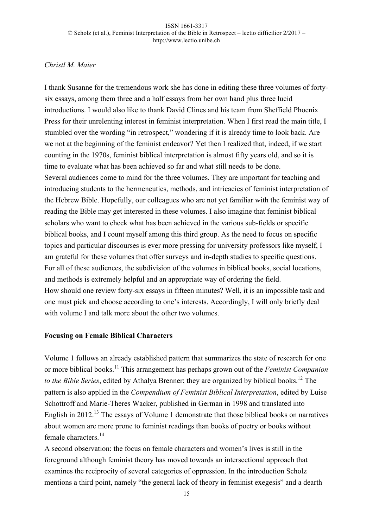# *Christl M. Maier*

I thank Susanne for the tremendous work she has done in editing these three volumes of fortysix essays, among them three and a half essays from her own hand plus three lucid introductions. I would also like to thank David Clines and his team from Sheffield Phoenix Press for their unrelenting interest in feminist interpretation. When I first read the main title, I stumbled over the wording "in retrospect," wondering if it is already time to look back. Are we not at the beginning of the feminist endeavor? Yet then I realized that, indeed, if we start counting in the 1970s, feminist biblical interpretation is almost fifty years old, and so it is time to evaluate what has been achieved so far and what still needs to be done. Several audiences come to mind for the three volumes. They are important for teaching and introducing students to the hermeneutics, methods, and intricacies of feminist interpretation of the Hebrew Bible. Hopefully, our colleagues who are not yet familiar with the feminist way of reading the Bible may get interested in these volumes. I also imagine that feminist biblical scholars who want to check what has been achieved in the various sub-fields or specific biblical books, and I count myself among this third group. As the need to focus on specific topics and particular discourses is ever more pressing for university professors like myself, I am grateful for these volumes that offer surveys and in-depth studies to specific questions. For all of these audiences, the subdivision of the volumes in biblical books, social locations, and methods is extremely helpful and an appropriate way of ordering the field. How should one review forty-six essays in fifteen minutes? Well, it is an impossible task and one must pick and choose according to one's interests. Accordingly, I will only briefly deal with volume I and talk more about the other two volumes.

# **Focusing on Female Biblical Characters**

Volume 1 follows an already established pattern that summarizes the state of research for one or more biblical books.<sup>11</sup> This arrangement has perhaps grown out of the *Feminist Companion to the Bible Series*, edited by Athalya Brenner; they are organized by biblical books.<sup>12</sup> The pattern is also applied in the *Compendium of Feminist Biblical Interpretation*, edited by Luise Schottroff and Marie-Theres Wacker, published in German in 1998 and translated into English in 2012.<sup>13</sup> The essays of Volume 1 demonstrate that those biblical books on narratives about women are more prone to feminist readings than books of poetry or books without female characters<sup>14</sup>

A second observation: the focus on female characters and women's lives is still in the foreground although feminist theory has moved towards an intersectional approach that examines the reciprocity of several categories of oppression. In the introduction Scholz mentions a third point, namely "the general lack of theory in feminist exegesis" and a dearth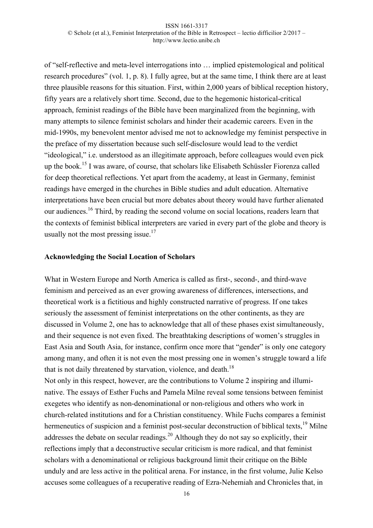of "self-reflective and meta-level interrogations into … implied epistemological and political research procedures" (vol. 1, p. 8). I fully agree, but at the same time, I think there are at least three plausible reasons for this situation. First, within 2,000 years of biblical reception history, fifty years are a relatively short time. Second, due to the hegemonic historical-critical approach, feminist readings of the Bible have been marginalized from the beginning, with many attempts to silence feminist scholars and hinder their academic careers. Even in the mid-1990s, my benevolent mentor advised me not to acknowledge my feminist perspective in the preface of my dissertation because such self-disclosure would lead to the verdict "ideological," i.e. understood as an illegitimate approach, before colleagues would even pick up the book.<sup>15</sup> I was aware, of course, that scholars like Elisabeth Schüssler Fiorenza called for deep theoretical reflections. Yet apart from the academy, at least in Germany, feminist readings have emerged in the churches in Bible studies and adult education. Alternative interpretations have been crucial but more debates about theory would have further alienated our audiences.<sup>16</sup> Third, by reading the second volume on social locations, readers learn that the contexts of feminist biblical interpreters are varied in every part of the globe and theory is usually not the most pressing issue.<sup>17</sup>

### **Acknowledging the Social Location of Scholars**

What in Western Europe and North America is called as first-, second-, and third-wave feminism and perceived as an ever growing awareness of differences, intersections, and theoretical work is a fictitious and highly constructed narrative of progress. If one takes seriously the assessment of feminist interpretations on the other continents, as they are discussed in Volume 2, one has to acknowledge that all of these phases exist simultaneously, and their sequence is not even fixed. The breathtaking descriptions of women's struggles in East Asia and South Asia, for instance, confirm once more that "gender" is only one category among many, and often it is not even the most pressing one in women's struggle toward a life that is not daily threatened by starvation, violence, and death.<sup>18</sup>

Not only in this respect, however, are the contributions to Volume 2 inspiring and illuminative. The essays of Esther Fuchs and Pamela Milne reveal some tensions between feminist exegetes who identify as non-denominational or non-religious and others who work in church-related institutions and for a Christian constituency. While Fuchs compares a feminist hermeneutics of suspicion and a feminist post-secular deconstruction of biblical texts.<sup>19</sup> Milne addresses the debate on secular readings.<sup>20</sup> Although they do not say so explicitly, their reflections imply that a deconstructive secular criticism is more radical, and that feminist scholars with a denominational or religious background limit their critique on the Bible unduly and are less active in the political arena. For instance, in the first volume, Julie Kelso accuses some colleagues of a recuperative reading of Ezra-Nehemiah and Chronicles that, in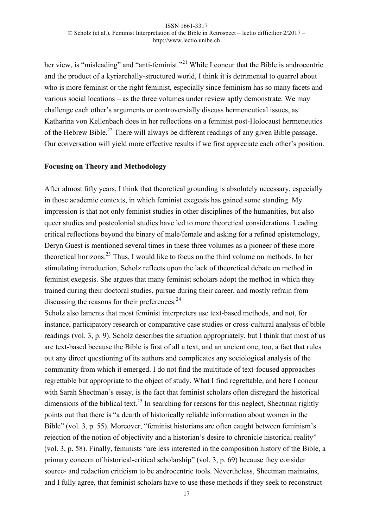her view, is "misleading" and "anti-feminist."<sup>21</sup> While I concur that the Bible is androcentric and the product of a kyriarchally-structured world, I think it is detrimental to quarrel about who is more feminist or the right feminist, especially since feminism has so many facets and various social locations – as the three volumes under review aptly demonstrate. We may challenge each other's arguments or controversially discuss hermeneutical issues, as Katharina von Kellenbach does in her reflections on a feminist post-Holocaust hermeneutics of the Hebrew Bible.<sup>22</sup> There will always be different readings of any given Bible passage. Our conversation will yield more effective results if we first appreciate each other's position.

### **Focusing on Theory and Methodology**

After almost fifty years, I think that theoretical grounding is absolutely necessary, especially in those academic contexts, in which feminist exegesis has gained some standing. My impression is that not only feminist studies in other disciplines of the humanities, but also queer studies and postcolonial studies have led to more theoretical considerations. Leading critical reflections beyond the binary of male/female and asking for a refined epistemology, Deryn Guest is mentioned several times in these three volumes as a pioneer of these more theoretical horizons.<sup>23</sup> Thus, I would like to focus on the third volume on methods. In her stimulating introduction, Scholz reflects upon the lack of theoretical debate on method in feminist exegesis. She argues that many feminist scholars adopt the method in which they trained during their doctoral studies, pursue during their career, and mostly refrain from discussing the reasons for their preferences. $24$ 

Scholz also laments that most feminist interpreters use text-based methods, and not, for instance, participatory research or comparative case studies or cross-cultural analysis of bible readings (vol. 3, p. 9). Scholz describes the situation appropriately, but I think that most of us are text-based because the Bible is first of all a text, and an ancient one, too, a fact that rules out any direct questioning of its authors and complicates any sociological analysis of the community from which it emerged. I do not find the multitude of text-focused approaches regrettable but appropriate to the object of study. What I find regrettable, and here I concur with Sarah Shectman's essay, is the fact that feminist scholars often disregard the historical dimensions of the biblical text.<sup>25</sup> In searching for reasons for this neglect. Shectman rightly points out that there is "a dearth of historically reliable information about women in the Bible" (vol. 3, p. 55). Moreover, "feminist historians are often caught between feminism's rejection of the notion of objectivity and a historian's desire to chronicle historical reality" (vol. 3, p. 58). Finally, feminists "are less interested in the composition history of the Bible, a primary concern of historical-critical scholarship" (vol. 3, p. 69) because they consider source- and redaction criticism to be androcentric tools. Nevertheless, Shectman maintains, and I fully agree, that feminist scholars have to use these methods if they seek to reconstruct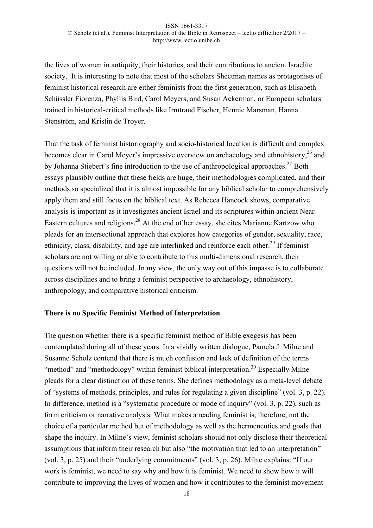the lives of women in antiquity, their histories, and their contributions to ancient Israelite society. It is interesting to note that most of the scholars Shectman names as protagonists of feminist historical research are either feminists from the first generation, such as Elisabeth Schüssler Fiorenza, Phyllis Bird, Carol Meyers, and Susan Ackerman, or European scholars trained in historical-critical methods like Irmtraud Fischer, Hennie Marsman, Hanna Stenström, and Kristin de Troyer.

That the task of feminist historiography and socio-historical location is difficult and complex becomes clear in Carol Meyer's impressive overview on archaeology and ethnohistory,<sup>26</sup> and by Johanna Stiebert's fine introduction to the use of anthropological approaches.<sup>27</sup> Both essays plausibly outline that these fields are huge, their methodologies complicated, and their methods so specialized that it is almost impossible for any biblical scholar to comprehensively apply them and still focus on the biblical text. As Rebecca Hancock shows, comparative analysis is important as it investigates ancient Israel and its scriptures within ancient Near Eastern cultures and religions.<sup>28</sup> At the end of her essay, she cites Marianne Kartzow who pleads for an intersectional approach that explores how categories of gender, sexuality, race, ethnicity, class, disability, and age are interlinked and reinforce each other.<sup>29</sup> If feminist scholars are not willing or able to contribute to this multi-dimensional research, their questions will not be included. In my view, the only way out of this impasse is to collaborate across disciplines and to bring a feminist perspective to archaeology, ethnohistory, anthropology, and comparative historical criticism.

# **There is no Specific Feminist Method of Interpretation**

The question whether there is a specific feminist method of Bible exegesis has been contemplated during all of these years. In a vividly written dialogue, Pamela J. Milne and Susanne Scholz contend that there is much confusion and lack of definition of the terms "method" and "methodology" within feminist biblical interpretation.<sup>30</sup> Especially Milne pleads for a clear distinction of these terms. She defines methodology as a meta-level debate of "systems of methods, principles, and rules for regulating a given discipline" (vol. 3, p. 22). In difference, method is a "systematic procedure or mode of inquiry" (vol. 3, p. 22), such as form criticism or narrative analysis. What makes a reading feminist is, therefore, not the choice of a particular method but of methodology as well as the hermeneutics and goals that shape the inquiry. In Milne's view, feminist scholars should not only disclose their theoretical assumptions that inform their research but also "the motivation that led to an interpretation" (vol. 3, p. 25) and their "underlying commitments" (vol. 3, p. 26). Milne explains: "If our work is feminist, we need to say why and how it is feminist. We need to show how it will contribute to improving the lives of women and how it contributes to the feminist movement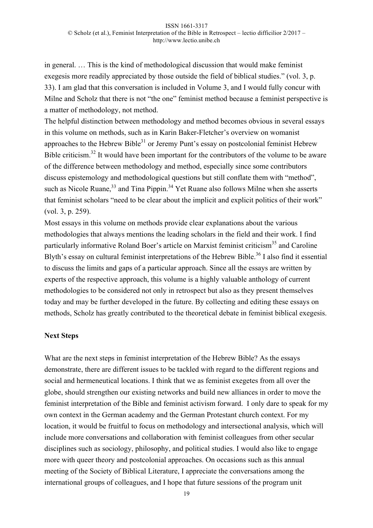in general. … This is the kind of methodological discussion that would make feminist exegesis more readily appreciated by those outside the field of biblical studies." (vol. 3, p. 33). I am glad that this conversation is included in Volume 3, and I would fully concur with Milne and Scholz that there is not "the one" feminist method because a feminist perspective is a matter of methodology, not method.

The helpful distinction between methodology and method becomes obvious in several essays in this volume on methods, such as in Karin Baker-Fletcher's overview on womanist approaches to the Hebrew Bible $31$  or Jeremy Punt's essay on postcolonial feminist Hebrew Bible criticism.<sup>32</sup> It would have been important for the contributors of the volume to be aware of the difference between methodology and method, especially since some contributors discuss epistemology and methodological questions but still conflate them with "method", such as Nicole Ruane,  $33$  and Tina Pippin.  $34$  Yet Ruane also follows Milne when she asserts that feminist scholars "need to be clear about the implicit and explicit politics of their work" (vol. 3, p. 259).

Most essays in this volume on methods provide clear explanations about the various methodologies that always mentions the leading scholars in the field and their work. I find particularly informative Roland Boer's article on Marxist feminist criticism<sup>35</sup> and Caroline Blyth's essay on cultural feminist interpretations of the Hebrew Bible.<sup>36</sup> I also find it essential to discuss the limits and gaps of a particular approach. Since all the essays are written by experts of the respective approach, this volume is a highly valuable anthology of current methodologies to be considered not only in retrospect but also as they present themselves today and may be further developed in the future. By collecting and editing these essays on methods, Scholz has greatly contributed to the theoretical debate in feminist biblical exegesis.

# **Next Steps**

What are the next steps in feminist interpretation of the Hebrew Bible? As the essays demonstrate, there are different issues to be tackled with regard to the different regions and social and hermeneutical locations. I think that we as feminist exegetes from all over the globe, should strengthen our existing networks and build new alliances in order to move the feminist interpretation of the Bible and feminist activism forward. I only dare to speak for my own context in the German academy and the German Protestant church context. For my location, it would be fruitful to focus on methodology and intersectional analysis, which will include more conversations and collaboration with feminist colleagues from other secular disciplines such as sociology, philosophy, and political studies. I would also like to engage more with queer theory and postcolonial approaches. On occasions such as this annual meeting of the Society of Biblical Literature, I appreciate the conversations among the international groups of colleagues, and I hope that future sessions of the program unit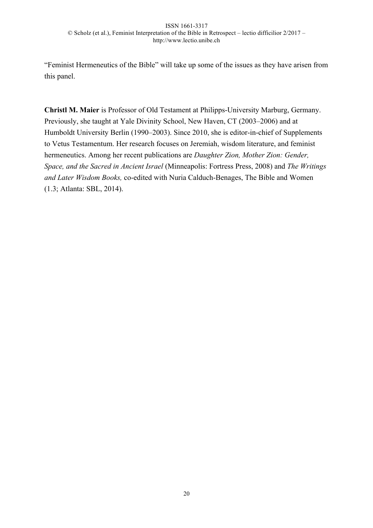"Feminist Hermeneutics of the Bible" will take up some of the issues as they have arisen from this panel.

**Christl M. Maier** is Professor of Old Testament at Philipps-University Marburg, Germany. Previously, she taught at Yale Divinity School, New Haven, CT (2003–2006) and at Humboldt University Berlin (1990–2003). Since 2010, she is editor-in-chief of Supplements to Vetus Testamentum. Her research focuses on Jeremiah, wisdom literature, and feminist hermeneutics. Among her recent publications are *Daughter Zion, Mother Zion: Gender, Space, and the Sacred in Ancient Israel* (Minneapolis: Fortress Press, 2008) and *The Writings and Later Wisdom Books,* co-edited with Nuria Calduch-Benages, The Bible and Women (1.3; Atlanta: SBL, 2014).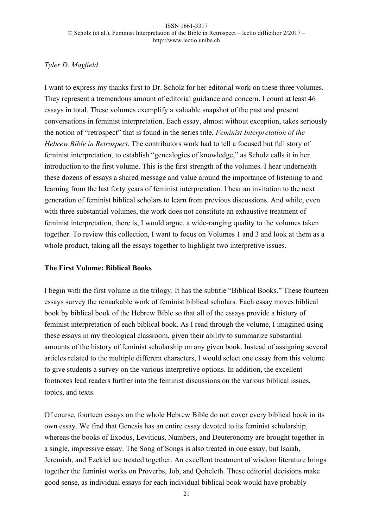# *Tyler D. Mayfield*

I want to express my thanks first to Dr. Scholz for her editorial work on these three volumes. They represent a tremendous amount of editorial guidance and concern. I count at least 46 essays in total. These volumes exemplify a valuable snapshot of the past and present conversations in feminist interpretation. Each essay, almost without exception, takes seriously the notion of "retrospect" that is found in the series title, *Feminist Interpretation of the Hebrew Bible in Retrospect*. The contributors work had to tell a focused but full story of feminist interpretation, to establish "genealogies of knowledge," as Scholz calls it in her introduction to the first volume. This is the first strength of the volumes. I hear underneath these dozens of essays a shared message and value around the importance of listening to and learning from the last forty years of feminist interpretation. I hear an invitation to the next generation of feminist biblical scholars to learn from previous discussions. And while, even with three substantial volumes, the work does not constitute an exhaustive treatment of feminist interpretation, there is, I would argue, a wide-ranging quality to the volumes taken together. To review this collection, I want to focus on Volumes 1 and 3 and look at them as a whole product, taking all the essays together to highlight two interpretive issues.

# **The First Volume: Biblical Books**

I begin with the first volume in the trilogy. It has the subtitle "Biblical Books." These fourteen essays survey the remarkable work of feminist biblical scholars. Each essay moves biblical book by biblical book of the Hebrew Bible so that all of the essays provide a history of feminist interpretation of each biblical book. As I read through the volume, I imagined using these essays in my theological classroom, given their ability to summarize substantial amounts of the history of feminist scholarship on any given book. Instead of assigning several articles related to the multiple different characters, I would select one essay from this volume to give students a survey on the various interpretive options. In addition, the excellent footnotes lead readers further into the feminist discussions on the various biblical issues, topics, and texts.

Of course, fourteen essays on the whole Hebrew Bible do not cover every biblical book in its own essay. We find that Genesis has an entire essay devoted to its feminist scholarship, whereas the books of Exodus, Leviticus, Numbers, and Deuteronomy are brought together in a single, impressive essay. The Song of Songs is also treated in one essay, but Isaiah, Jeremiah, and Ezekiel are treated together. An excellent treatment of wisdom literature brings together the feminist works on Proverbs, Job, and Qoheleth. These editorial decisions make good sense, as individual essays for each individual biblical book would have probably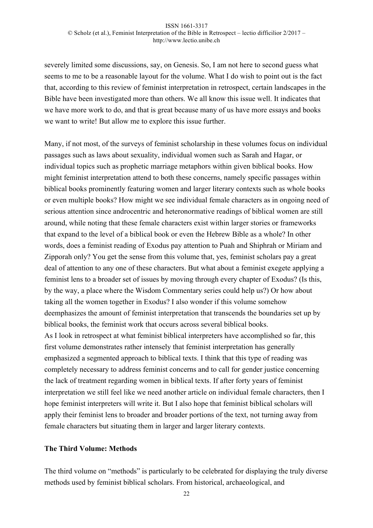severely limited some discussions, say, on Genesis. So, I am not here to second guess what seems to me to be a reasonable layout for the volume. What I do wish to point out is the fact that, according to this review of feminist interpretation in retrospect, certain landscapes in the Bible have been investigated more than others. We all know this issue well. It indicates that we have more work to do, and that is great because many of us have more essays and books we want to write! But allow me to explore this issue further.

Many, if not most, of the surveys of feminist scholarship in these volumes focus on individual passages such as laws about sexuality, individual women such as Sarah and Hagar, or individual topics such as prophetic marriage metaphors within given biblical books. How might feminist interpretation attend to both these concerns, namely specific passages within biblical books prominently featuring women and larger literary contexts such as whole books or even multiple books? How might we see individual female characters as in ongoing need of serious attention since androcentric and heteronormative readings of biblical women are still around, while noting that these female characters exist within larger stories or frameworks that expand to the level of a biblical book or even the Hebrew Bible as a whole? In other words, does a feminist reading of Exodus pay attention to Puah and Shiphrah or Miriam and Zipporah only? You get the sense from this volume that, yes, feminist scholars pay a great deal of attention to any one of these characters. But what about a feminist exegete applying a feminist lens to a broader set of issues by moving through every chapter of Exodus? (Is this, by the way, a place where the Wisdom Commentary series could help us?) Or how about taking all the women together in Exodus? I also wonder if this volume somehow deemphasizes the amount of feminist interpretation that transcends the boundaries set up by biblical books, the feminist work that occurs across several biblical books. As I look in retrospect at what feminist biblical interpreters have accomplished so far, this first volume demonstrates rather intensely that feminist interpretation has generally emphasized a segmented approach to biblical texts. I think that this type of reading was completely necessary to address feminist concerns and to call for gender justice concerning the lack of treatment regarding women in biblical texts. If after forty years of feminist interpretation we still feel like we need another article on individual female characters, then I hope feminist interpreters will write it. But I also hope that feminist biblical scholars will apply their feminist lens to broader and broader portions of the text, not turning away from female characters but situating them in larger and larger literary contexts.

# **The Third Volume: Methods**

The third volume on "methods" is particularly to be celebrated for displaying the truly diverse methods used by feminist biblical scholars. From historical, archaeological, and

22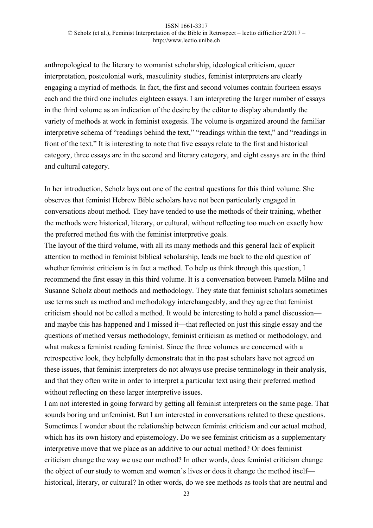anthropological to the literary to womanist scholarship, ideological criticism, queer interpretation, postcolonial work, masculinity studies, feminist interpreters are clearly engaging a myriad of methods. In fact, the first and second volumes contain fourteen essays each and the third one includes eighteen essays. I am interpreting the larger number of essays in the third volume as an indication of the desire by the editor to display abundantly the variety of methods at work in feminist exegesis. The volume is organized around the familiar interpretive schema of "readings behind the text," "readings within the text," and "readings in front of the text." It is interesting to note that five essays relate to the first and historical category, three essays are in the second and literary category, and eight essays are in the third and cultural category.

In her introduction, Scholz lays out one of the central questions for this third volume. She observes that feminist Hebrew Bible scholars have not been particularly engaged in conversations about method. They have tended to use the methods of their training, whether the methods were historical, literary, or cultural, without reflecting too much on exactly how the preferred method fits with the feminist interpretive goals.

The layout of the third volume, with all its many methods and this general lack of explicit attention to method in feminist biblical scholarship, leads me back to the old question of whether feminist criticism is in fact a method. To help us think through this question, I recommend the first essay in this third volume. It is a conversation between Pamela Milne and Susanne Scholz about methods and methodology. They state that feminist scholars sometimes use terms such as method and methodology interchangeably, and they agree that feminist criticism should not be called a method. It would be interesting to hold a panel discussion and maybe this has happened and I missed it—that reflected on just this single essay and the questions of method versus methodology, feminist criticism as method or methodology, and what makes a feminist reading feminist. Since the three volumes are concerned with a retrospective look, they helpfully demonstrate that in the past scholars have not agreed on these issues, that feminist interpreters do not always use precise terminology in their analysis, and that they often write in order to interpret a particular text using their preferred method without reflecting on these larger interpretive issues.

I am not interested in going forward by getting all feminist interpreters on the same page. That sounds boring and unfeminist. But I am interested in conversations related to these questions. Sometimes I wonder about the relationship between feminist criticism and our actual method, which has its own history and epistemology. Do we see feminist criticism as a supplementary interpretive move that we place as an additive to our actual method? Or does feminist criticism change the way we use our method? In other words, does feminist criticism change the object of our study to women and women's lives or does it change the method itself historical, literary, or cultural? In other words, do we see methods as tools that are neutral and

23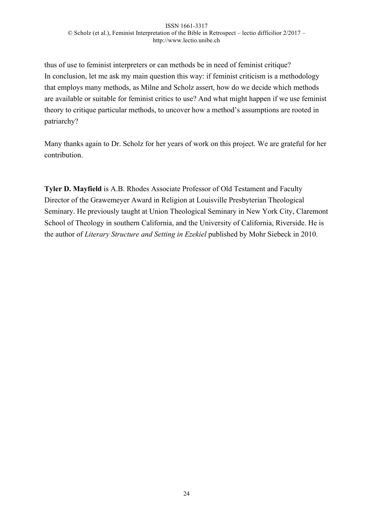thus of use to feminist interpreters or can methods be in need of feminist critique? In conclusion, let me ask my main question this way: if feminist criticism is a methodology that employs many methods, as Milne and Scholz assert, how do we decide which methods are available or suitable for feminist critics to use? And what might happen if we use feminist theory to critique particular methods, to uncover how a method's assumptions are rooted in patriarchy?

Many thanks again to Dr. Scholz for her years of work on this project. We are grateful for her contribution.

**Tyler D. Mayfield** is A.B. Rhodes Associate Professor of Old Testament and Faculty Director of the Grawemeyer Award in Religion at Louisville Presbyterian Theological Seminary. He previously taught at Union Theological Seminary in New York City, Claremont School of Theology in southern California, and the University of California, Riverside. He is the author of *Literary Structure and Setting in Ezekiel* published by Mohr Siebeck in 2010.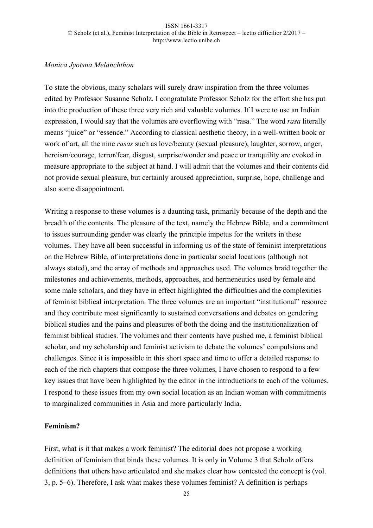# *Monica Jyotsna Melanchthon*

To state the obvious, many scholars will surely draw inspiration from the three volumes edited by Professor Susanne Scholz. I congratulate Professor Scholz for the effort she has put into the production of these three very rich and valuable volumes. If I were to use an Indian expression, I would say that the volumes are overflowing with "rasa." The word *rasa* literally means "juice" or "essence." According to classical aesthetic theory, in a well-written book or work of art, all the nine *rasas* such as love/beauty (sexual pleasure), laughter, sorrow, anger, heroism/courage, terror/fear, disgust, surprise/wonder and peace or tranquility are evoked in measure appropriate to the subject at hand. I will admit that the volumes and their contents did not provide sexual pleasure, but certainly aroused appreciation, surprise, hope, challenge and also some disappointment.

Writing a response to these volumes is a daunting task, primarily because of the depth and the breadth of the contents. The pleasure of the text, namely the Hebrew Bible, and a commitment to issues surrounding gender was clearly the principle impetus for the writers in these volumes. They have all been successful in informing us of the state of feminist interpretations on the Hebrew Bible, of interpretations done in particular social locations (although not always stated), and the array of methods and approaches used. The volumes braid together the milestones and achievements, methods, approaches, and hermeneutics used by female and some male scholars, and they have in effect highlighted the difficulties and the complexities of feminist biblical interpretation. The three volumes are an important "institutional" resource and they contribute most significantly to sustained conversations and debates on gendering biblical studies and the pains and pleasures of both the doing and the institutionalization of feminist biblical studies. The volumes and their contents have pushed me, a feminist biblical scholar, and my scholarship and feminist activism to debate the volumes' compulsions and challenges. Since it is impossible in this short space and time to offer a detailed response to each of the rich chapters that compose the three volumes, I have chosen to respond to a few key issues that have been highlighted by the editor in the introductions to each of the volumes. I respond to these issues from my own social location as an Indian woman with commitments to marginalized communities in Asia and more particularly India.

# **Feminism?**

First, what is it that makes a work feminist? The editorial does not propose a working definition of feminism that binds these volumes. It is only in Volume 3 that Scholz offers definitions that others have articulated and she makes clear how contested the concept is (vol. 3, p. 5–6). Therefore, I ask what makes these volumes feminist? A definition is perhaps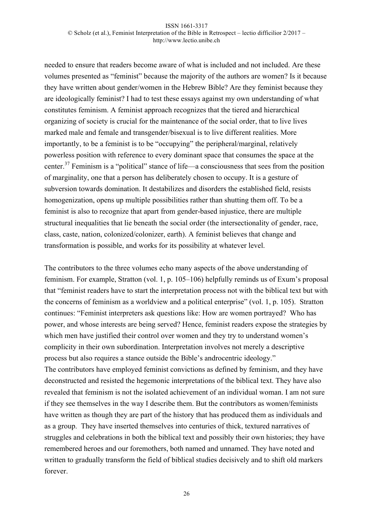needed to ensure that readers become aware of what is included and not included. Are these volumes presented as "feminist" because the majority of the authors are women? Is it because they have written about gender/women in the Hebrew Bible? Are they feminist because they are ideologically feminist? I had to test these essays against my own understanding of what constitutes feminism. A feminist approach recognizes that the tiered and hierarchical organizing of society is crucial for the maintenance of the social order, that to live lives marked male and female and transgender/bisexual is to live different realities. More importantly, to be a feminist is to be "occupying" the peripheral/marginal, relatively powerless position with reference to every dominant space that consumes the space at the center.<sup>37</sup> Feminism is a "political" stance of life—a consciousness that sees from the position of marginality, one that a person has deliberately chosen to occupy. It is a gesture of subversion towards domination. It destabilizes and disorders the established field, resists homogenization, opens up multiple possibilities rather than shutting them off. To be a feminist is also to recognize that apart from gender-based injustice, there are multiple structural inequalities that lie beneath the social order (the intersectionality of gender, race, class, caste, nation, colonized/colonizer, earth). A feminist believes that change and transformation is possible, and works for its possibility at whatever level.

The contributors to the three volumes echo many aspects of the above understanding of feminism. For example, Stratton (vol. 1, p. 105–106) helpfully reminds us of Exum's proposal that "feminist readers have to start the interpretation process not with the biblical text but with the concerns of feminism as a worldview and a political enterprise" (vol. 1, p. 105). Stratton continues: "Feminist interpreters ask questions like: How are women portrayed? Who has power, and whose interests are being served? Hence, feminist readers expose the strategies by which men have justified their control over women and they try to understand women's complicity in their own subordination. Interpretation involves not merely a descriptive process but also requires a stance outside the Bible's androcentric ideology." The contributors have employed feminist convictions as defined by feminism, and they have deconstructed and resisted the hegemonic interpretations of the biblical text. They have also revealed that feminism is not the isolated achievement of an individual woman. I am not sure if they see themselves in the way I describe them. But the contributors as women/feminists have written as though they are part of the history that has produced them as individuals and as a group. They have inserted themselves into centuries of thick, textured narratives of struggles and celebrations in both the biblical text and possibly their own histories; they have remembered heroes and our foremothers, both named and unnamed. They have noted and written to gradually transform the field of biblical studies decisively and to shift old markers forever.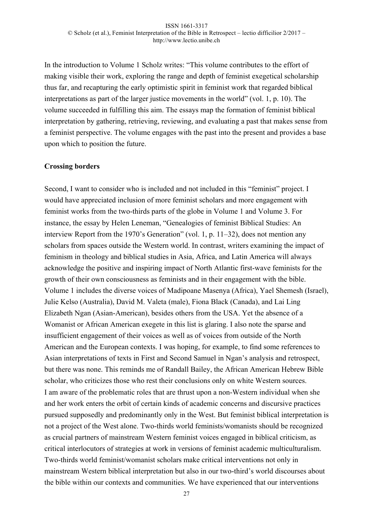In the introduction to Volume 1 Scholz writes: "This volume contributes to the effort of making visible their work, exploring the range and depth of feminist exegetical scholarship thus far, and recapturing the early optimistic spirit in feminist work that regarded biblical interpretations as part of the larger justice movements in the world" (vol. 1, p. 10). The volume succeeded in fulfilling this aim. The essays map the formation of feminist biblical interpretation by gathering, retrieving, reviewing, and evaluating a past that makes sense from a feminist perspective. The volume engages with the past into the present and provides a base upon which to position the future.

### **Crossing borders**

Second, I want to consider who is included and not included in this "feminist" project. I would have appreciated inclusion of more feminist scholars and more engagement with feminist works from the two-thirds parts of the globe in Volume 1 and Volume 3. For instance, the essay by Helen Leneman, "Genealogies of feminist Biblical Studies: An interview Report from the 1970's Generation" (vol. 1, p. 11–32), does not mention any scholars from spaces outside the Western world. In contrast, writers examining the impact of feminism in theology and biblical studies in Asia, Africa, and Latin America will always acknowledge the positive and inspiring impact of North Atlantic first-wave feminists for the growth of their own consciousness as feminists and in their engagement with the bible. Volume 1 includes the diverse voices of Madipoane Masenya (Africa), Yael Shemesh (Israel), Julie Kelso (Australia), David M. Valeta (male), Fiona Black (Canada), and Lai Ling Elizabeth Ngan (Asian-American), besides others from the USA. Yet the absence of a Womanist or African American exegete in this list is glaring. I also note the sparse and insufficient engagement of their voices as well as of voices from outside of the North American and the European contexts. I was hoping, for example, to find some references to Asian interpretations of texts in First and Second Samuel in Ngan's analysis and retrospect, but there was none. This reminds me of Randall Bailey, the African American Hebrew Bible scholar, who criticizes those who rest their conclusions only on white Western sources. I am aware of the problematic roles that are thrust upon a non-Western individual when she and her work enters the orbit of certain kinds of academic concerns and discursive practices pursued supposedly and predominantly only in the West. But feminist biblical interpretation is not a project of the West alone. Two-thirds world feminists/womanists should be recognized as crucial partners of mainstream Western feminist voices engaged in biblical criticism, as critical interlocutors of strategies at work in versions of feminist academic multiculturalism. Two-thirds world feminist/womanist scholars make critical interventions not only in mainstream Western biblical interpretation but also in our two-third's world discourses about the bible within our contexts and communities. We have experienced that our interventions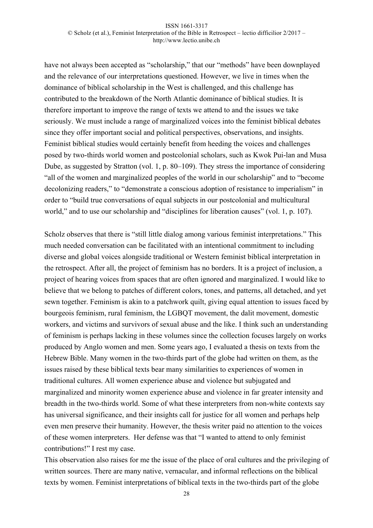have not always been accepted as "scholarship," that our "methods" have been downplayed and the relevance of our interpretations questioned. However, we live in times when the dominance of biblical scholarship in the West is challenged, and this challenge has contributed to the breakdown of the North Atlantic dominance of biblical studies. It is therefore important to improve the range of texts we attend to and the issues we take seriously. We must include a range of marginalized voices into the feminist biblical debates since they offer important social and political perspectives, observations, and insights. Feminist biblical studies would certainly benefit from heeding the voices and challenges posed by two-thirds world women and postcolonial scholars, such as Kwok Pui-lan and Musa Dube, as suggested by Stratton (vol. 1, p. 80–109). They stress the importance of considering "all of the women and marginalized peoples of the world in our scholarship" and to "become decolonizing readers," to "demonstrate a conscious adoption of resistance to imperialism" in order to "build true conversations of equal subjects in our postcolonial and multicultural world," and to use our scholarship and "disciplines for liberation causes" (vol. 1, p. 107).

Scholz observes that there is "still little dialog among various feminist interpretations." This much needed conversation can be facilitated with an intentional commitment to including diverse and global voices alongside traditional or Western feminist biblical interpretation in the retrospect. After all, the project of feminism has no borders. It is a project of inclusion, a project of hearing voices from spaces that are often ignored and marginalized. I would like to believe that we belong to patches of different colors, tones, and patterns, all detached, and yet sewn together. Feminism is akin to a patchwork quilt, giving equal attention to issues faced by bourgeois feminism, rural feminism, the LGBQT movement, the dalit movement, domestic workers, and victims and survivors of sexual abuse and the like. I think such an understanding of feminism is perhaps lacking in these volumes since the collection focuses largely on works produced by Anglo women and men. Some years ago, I evaluated a thesis on texts from the Hebrew Bible. Many women in the two-thirds part of the globe had written on them, as the issues raised by these biblical texts bear many similarities to experiences of women in traditional cultures. All women experience abuse and violence but subjugated and marginalized and minority women experience abuse and violence in far greater intensity and breadth in the two-thirds world. Some of what these interpreters from non-white contexts say has universal significance, and their insights call for justice for all women and perhaps help even men preserve their humanity. However, the thesis writer paid no attention to the voices of these women interpreters. Her defense was that "I wanted to attend to only feminist contributions!" I rest my case.

This observation also raises for me the issue of the place of oral cultures and the privileging of written sources. There are many native, vernacular, and informal reflections on the biblical texts by women. Feminist interpretations of biblical texts in the two-thirds part of the globe

28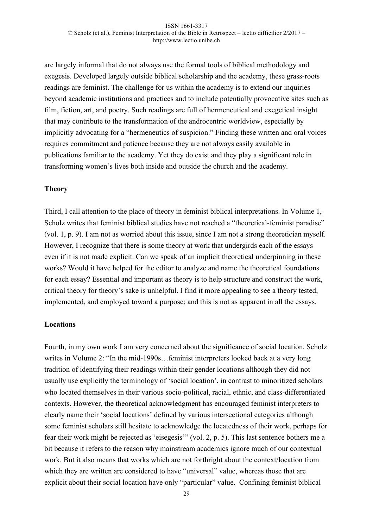are largely informal that do not always use the formal tools of biblical methodology and exegesis. Developed largely outside biblical scholarship and the academy, these grass-roots readings are feminist. The challenge for us within the academy is to extend our inquiries beyond academic institutions and practices and to include potentially provocative sites such as film, fiction, art, and poetry. Such readings are full of hermeneutical and exegetical insight that may contribute to the transformation of the androcentric worldview, especially by implicitly advocating for a "hermeneutics of suspicion." Finding these written and oral voices requires commitment and patience because they are not always easily available in publications familiar to the academy. Yet they do exist and they play a significant role in transforming women's lives both inside and outside the church and the academy.

### **Theory**

Third, I call attention to the place of theory in feminist biblical interpretations. In Volume 1, Scholz writes that feminist biblical studies have not reached a "theoretical-feminist paradise" (vol. 1, p. 9). I am not as worried about this issue, since I am not a strong theoretician myself. However, I recognize that there is some theory at work that undergirds each of the essays even if it is not made explicit. Can we speak of an implicit theoretical underpinning in these works? Would it have helped for the editor to analyze and name the theoretical foundations for each essay? Essential and important as theory is to help structure and construct the work, critical theory for theory's sake is unhelpful. I find it more appealing to see a theory tested, implemented, and employed toward a purpose; and this is not as apparent in all the essays.

# **Locations**

Fourth, in my own work I am very concerned about the significance of social location. Scholz writes in Volume 2: "In the mid-1990s…feminist interpreters looked back at a very long tradition of identifying their readings within their gender locations although they did not usually use explicitly the terminology of 'social location', in contrast to minoritized scholars who located themselves in their various socio-political, racial, ethnic, and class-differentiated contexts. However, the theoretical acknowledgment has encouraged feminist interpreters to clearly name their 'social locations' defined by various intersectional categories although some feminist scholars still hesitate to acknowledge the locatedness of their work, perhaps for fear their work might be rejected as 'eisegesis'" (vol. 2, p. 5). This last sentence bothers me a bit because it refers to the reason why mainstream academics ignore much of our contextual work. But it also means that works which are not forthright about the context/location from which they are written are considered to have "universal" value, whereas those that are explicit about their social location have only "particular" value. Confining feminist biblical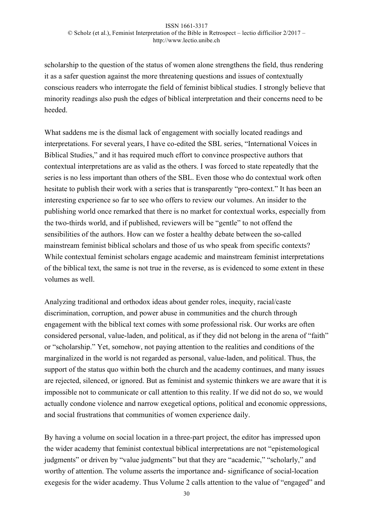scholarship to the question of the status of women alone strengthens the field, thus rendering it as a safer question against the more threatening questions and issues of contextually conscious readers who interrogate the field of feminist biblical studies. I strongly believe that minority readings also push the edges of biblical interpretation and their concerns need to be heeded.

What saddens me is the dismal lack of engagement with socially located readings and interpretations. For several years, I have co-edited the SBL series, "International Voices in Biblical Studies," and it has required much effort to convince prospective authors that contextual interpretations are as valid as the others. I was forced to state repeatedly that the series is no less important than others of the SBL. Even those who do contextual work often hesitate to publish their work with a series that is transparently "pro-context." It has been an interesting experience so far to see who offers to review our volumes. An insider to the publishing world once remarked that there is no market for contextual works, especially from the two-thirds world, and if published, reviewers will be "gentle" to not offend the sensibilities of the authors. How can we foster a healthy debate between the so-called mainstream feminist biblical scholars and those of us who speak from specific contexts? While contextual feminist scholars engage academic and mainstream feminist interpretations of the biblical text, the same is not true in the reverse, as is evidenced to some extent in these volumes as well.

Analyzing traditional and orthodox ideas about gender roles, inequity, racial/caste discrimination, corruption, and power abuse in communities and the church through engagement with the biblical text comes with some professional risk. Our works are often considered personal, value-laden, and political, as if they did not belong in the arena of "faith" or "scholarship." Yet, somehow, not paying attention to the realities and conditions of the marginalized in the world is not regarded as personal, value-laden, and political. Thus, the support of the status quo within both the church and the academy continues, and many issues are rejected, silenced, or ignored. But as feminist and systemic thinkers we are aware that it is impossible not to communicate or call attention to this reality. If we did not do so, we would actually condone violence and narrow exegetical options, political and economic oppressions, and social frustrations that communities of women experience daily.

By having a volume on social location in a three-part project, the editor has impressed upon the wider academy that feminist contextual biblical interpretations are not "epistemological judgments" or driven by "value judgments" but that they are "academic," "scholarly," and worthy of attention. The volume asserts the importance and- significance of social-location exegesis for the wider academy. Thus Volume 2 calls attention to the value of "engaged" and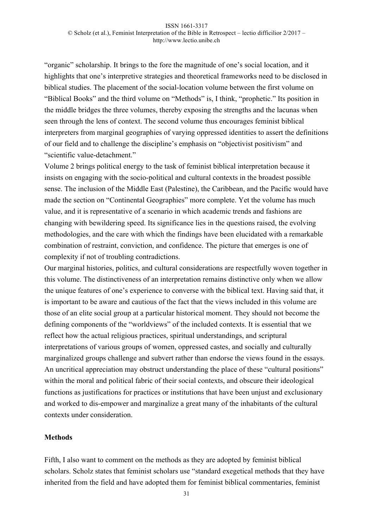"organic" scholarship. It brings to the fore the magnitude of one's social location, and it highlights that one's interpretive strategies and theoretical frameworks need to be disclosed in biblical studies. The placement of the social-location volume between the first volume on "Biblical Books" and the third volume on "Methods" is, I think, "prophetic." Its position in the middle bridges the three volumes, thereby exposing the strengths and the lacunas when seen through the lens of context. The second volume thus encourages feminist biblical interpreters from marginal geographies of varying oppressed identities to assert the definitions of our field and to challenge the discipline's emphasis on "objectivist positivism" and "scientific value-detachment."

Volume 2 brings political energy to the task of feminist biblical interpretation because it insists on engaging with the socio-political and cultural contexts in the broadest possible sense. The inclusion of the Middle East (Palestine), the Caribbean, and the Pacific would have made the section on "Continental Geographies" more complete. Yet the volume has much value, and it is representative of a scenario in which academic trends and fashions are changing with bewildering speed. Its significance lies in the questions raised, the evolving methodologies, and the care with which the findings have been elucidated with a remarkable combination of restraint, conviction, and confidence. The picture that emerges is one of complexity if not of troubling contradictions.

Our marginal histories, politics, and cultural considerations are respectfully woven together in this volume. The distinctiveness of an interpretation remains distinctive only when we allow the unique features of one's experience to converse with the biblical text. Having said that, it is important to be aware and cautious of the fact that the views included in this volume are those of an elite social group at a particular historical moment. They should not become the defining components of the "worldviews" of the included contexts. It is essential that we reflect how the actual religious practices, spiritual understandings, and scriptural interpretations of various groups of women, oppressed castes, and socially and culturally marginalized groups challenge and subvert rather than endorse the views found in the essays. An uncritical appreciation may obstruct understanding the place of these "cultural positions" within the moral and political fabric of their social contexts, and obscure their ideological functions as justifications for practices or institutions that have been unjust and exclusionary and worked to dis-empower and marginalize a great many of the inhabitants of the cultural contexts under consideration.

### **Methods**

Fifth, I also want to comment on the methods as they are adopted by feminist biblical scholars. Scholz states that feminist scholars use "standard exegetical methods that they have inherited from the field and have adopted them for feminist biblical commentaries, feminist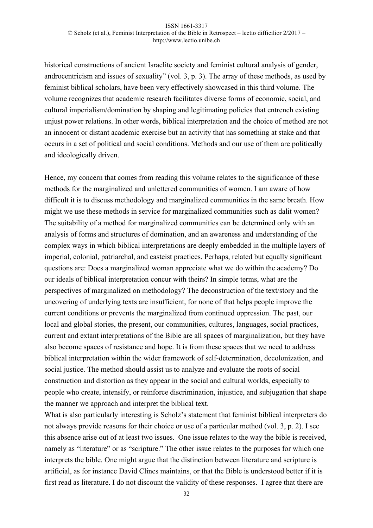historical constructions of ancient Israelite society and feminist cultural analysis of gender, androcentricism and issues of sexuality" (vol. 3, p. 3). The array of these methods, as used by feminist biblical scholars, have been very effectively showcased in this third volume. The volume recognizes that academic research facilitates diverse forms of economic, social, and cultural imperialism/domination by shaping and legitimating policies that entrench existing unjust power relations. In other words, biblical interpretation and the choice of method are not an innocent or distant academic exercise but an activity that has something at stake and that occurs in a set of political and social conditions. Methods and our use of them are politically and ideologically driven.

Hence, my concern that comes from reading this volume relates to the significance of these methods for the marginalized and unlettered communities of women. I am aware of how difficult it is to discuss methodology and marginalized communities in the same breath. How might we use these methods in service for marginalized communities such as dalit women? The suitability of a method for marginalized communities can be determined only with an analysis of forms and structures of domination, and an awareness and understanding of the complex ways in which biblical interpretations are deeply embedded in the multiple layers of imperial, colonial, patriarchal, and casteist practices. Perhaps, related but equally significant questions are: Does a marginalized woman appreciate what we do within the academy? Do our ideals of biblical interpretation concur with theirs? In simple terms, what are the perspectives of marginalized on methodology? The deconstruction of the text/story and the uncovering of underlying texts are insufficient, for none of that helps people improve the current conditions or prevents the marginalized from continued oppression. The past, our local and global stories, the present, our communities, cultures, languages, social practices, current and extant interpretations of the Bible are all spaces of marginalization, but they have also become spaces of resistance and hope. It is from these spaces that we need to address biblical interpretation within the wider framework of self-determination, decolonization, and social justice. The method should assist us to analyze and evaluate the roots of social construction and distortion as they appear in the social and cultural worlds, especially to people who create, intensify, or reinforce discrimination, injustice, and subjugation that shape the manner we approach and interpret the biblical text.

What is also particularly interesting is Scholz's statement that feminist biblical interpreters do not always provide reasons for their choice or use of a particular method (vol. 3, p. 2). I see this absence arise out of at least two issues. One issue relates to the way the bible is received, namely as "literature" or as "scripture." The other issue relates to the purposes for which one interprets the bible. One might argue that the distinction between literature and scripture is artificial, as for instance David Clines maintains, or that the Bible is understood better if it is first read as literature. I do not discount the validity of these responses. I agree that there are

32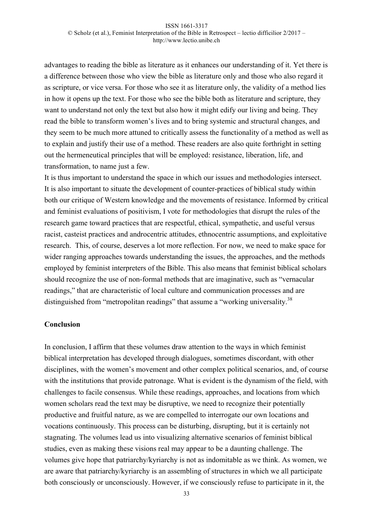advantages to reading the bible as literature as it enhances our understanding of it. Yet there is a difference between those who view the bible as literature only and those who also regard it as scripture, or vice versa. For those who see it as literature only, the validity of a method lies in how it opens up the text. For those who see the bible both as literature and scripture, they want to understand not only the text but also how it might edify our living and being. They read the bible to transform women's lives and to bring systemic and structural changes, and they seem to be much more attuned to critically assess the functionality of a method as well as to explain and justify their use of a method. These readers are also quite forthright in setting out the hermeneutical principles that will be employed: resistance, liberation, life, and transformation, to name just a few.

It is thus important to understand the space in which our issues and methodologies intersect. It is also important to situate the development of counter-practices of biblical study within both our critique of Western knowledge and the movements of resistance. Informed by critical and feminist evaluations of positivism, I vote for methodologies that disrupt the rules of the research game toward practices that are respectful, ethical, sympathetic, and useful versus racist, casteist practices and androcentric attitudes, ethnocentric assumptions, and exploitative research. This, of course, deserves a lot more reflection. For now, we need to make space for wider ranging approaches towards understanding the issues, the approaches, and the methods employed by feminist interpreters of the Bible. This also means that feminist biblical scholars should recognize the use of non-formal methods that are imaginative, such as "vernacular readings," that are characteristic of local culture and communication processes and are distinguished from "metropolitan readings" that assume a "working universality.<sup>38</sup>

### **Conclusion**

In conclusion, I affirm that these volumes draw attention to the ways in which feminist biblical interpretation has developed through dialogues, sometimes discordant, with other disciplines, with the women's movement and other complex political scenarios, and, of course with the institutions that provide patronage. What is evident is the dynamism of the field, with challenges to facile consensus. While these readings, approaches, and locations from which women scholars read the text may be disruptive, we need to recognize their potentially productive and fruitful nature, as we are compelled to interrogate our own locations and vocations continuously. This process can be disturbing, disrupting, but it is certainly not stagnating. The volumes lead us into visualizing alternative scenarios of feminist biblical studies, even as making these visions real may appear to be a daunting challenge. The volumes give hope that patriarchy/kyriarchy is not as indomitable as we think. As women, we are aware that patriarchy/kyriarchy is an assembling of structures in which we all participate both consciously or unconsciously. However, if we consciously refuse to participate in it, the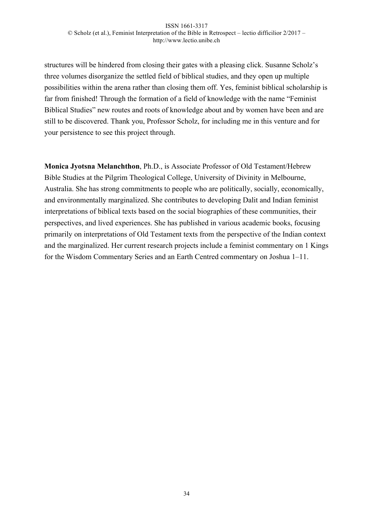structures will be hindered from closing their gates with a pleasing click. Susanne Scholz's three volumes disorganize the settled field of biblical studies, and they open up multiple possibilities within the arena rather than closing them off. Yes, feminist biblical scholarship is far from finished! Through the formation of a field of knowledge with the name "Feminist Biblical Studies" new routes and roots of knowledge about and by women have been and are still to be discovered. Thank you, Professor Scholz, for including me in this venture and for your persistence to see this project through.

**Monica Jyotsna Melanchthon**, Ph.D., is Associate Professor of Old Testament/Hebrew Bible Studies at the Pilgrim Theological College, University of Divinity in Melbourne, Australia. She has strong commitments to people who are politically, socially, economically, and environmentally marginalized. She contributes to developing Dalit and Indian feminist interpretations of biblical texts based on the social biographies of these communities, their perspectives, and lived experiences. She has published in various academic books, focusing primarily on interpretations of Old Testament texts from the perspective of the Indian context and the marginalized. Her current research projects include a feminist commentary on 1 Kings for the Wisdom Commentary Series and an Earth Centred commentary on Joshua 1–11.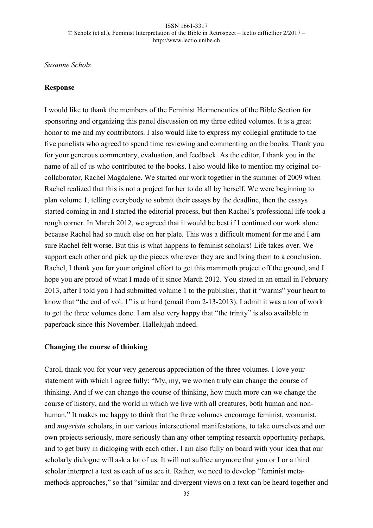# *Susanne Scholz*

### **Response**

I would like to thank the members of the Feminist Hermeneutics of the Bible Section for sponsoring and organizing this panel discussion on my three edited volumes. It is a great honor to me and my contributors. I also would like to express my collegial gratitude to the five panelists who agreed to spend time reviewing and commenting on the books. Thank you for your generous commentary, evaluation, and feedback. As the editor, I thank you in the name of all of us who contributed to the books. I also would like to mention my original cocollaborator, Rachel Magdalene. We started our work together in the summer of 2009 when Rachel realized that this is not a project for her to do all by herself. We were beginning to plan volume 1, telling everybody to submit their essays by the deadline, then the essays started coming in and I started the editorial process, but then Rachel's professional life took a rough corner. In March 2012, we agreed that it would be best if I continued our work alone because Rachel had so much else on her plate. This was a difficult moment for me and I am sure Rachel felt worse. But this is what happens to feminist scholars! Life takes over. We support each other and pick up the pieces wherever they are and bring them to a conclusion. Rachel, I thank you for your original effort to get this mammoth project off the ground, and I hope you are proud of what I made of it since March 2012. You stated in an email in February 2013, after I told you I had submitted volume 1 to the publisher, that it "warms" your heart to know that "the end of vol. 1" is at hand (email from 2-13-2013). I admit it was a ton of work to get the three volumes done. I am also very happy that "the trinity" is also available in paperback since this November. Hallelujah indeed.

### **Changing the course of thinking**

Carol, thank you for your very generous appreciation of the three volumes. I love your statement with which I agree fully: "My, my, we women truly can change the course of thinking. And if we can change the course of thinking, how much more can we change the course of history, and the world in which we live with all creatures, both human and nonhuman." It makes me happy to think that the three volumes encourage feminist, womanist, and *mujerista* scholars, in our various intersectional manifestations, to take ourselves and our own projects seriously, more seriously than any other tempting research opportunity perhaps, and to get busy in dialoging with each other. I am also fully on board with your idea that our scholarly dialogue will ask a lot of us. It will not suffice anymore that you or I or a third scholar interpret a text as each of us see it. Rather, we need to develop "feminist metamethods approaches," so that "similar and divergent views on a text can be heard together and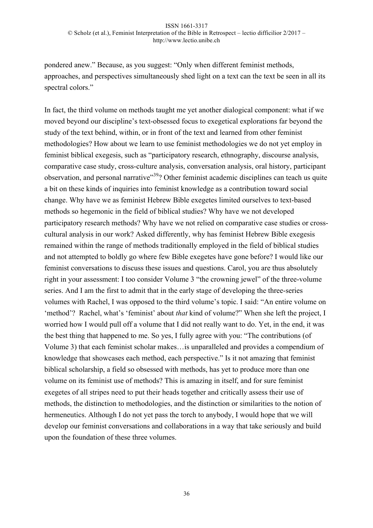pondered anew." Because, as you suggest: "Only when different feminist methods, approaches, and perspectives simultaneously shed light on a text can the text be seen in all its spectral colors."

In fact, the third volume on methods taught me yet another dialogical component: what if we moved beyond our discipline's text-obsessed focus to exegetical explorations far beyond the study of the text behind, within, or in front of the text and learned from other feminist methodologies? How about we learn to use feminist methodologies we do not yet employ in feminist biblical exegesis, such as "participatory research, ethnography, discourse analysis, comparative case study, cross-culture analysis, conversation analysis, oral history, participant observation, and personal narrative<sup>39</sup>? Other feminist academic disciplines can teach us quite a bit on these kinds of inquiries into feminist knowledge as a contribution toward social change. Why have we as feminist Hebrew Bible exegetes limited ourselves to text-based methods so hegemonic in the field of biblical studies? Why have we not developed participatory research methods? Why have we not relied on comparative case studies or crosscultural analysis in our work? Asked differently, why has feminist Hebrew Bible exegesis remained within the range of methods traditionally employed in the field of biblical studies and not attempted to boldly go where few Bible exegetes have gone before? I would like our feminist conversations to discuss these issues and questions. Carol, you are thus absolutely right in your assessment: I too consider Volume 3 "the crowning jewel" of the three-volume series. And I am the first to admit that in the early stage of developing the three-series volumes with Rachel, I was opposed to the third volume's topic. I said: "An entire volume on 'method'? Rachel, what's 'feminist' about *that* kind of volume?" When she left the project, I worried how I would pull off a volume that I did not really want to do. Yet, in the end, it was the best thing that happened to me. So yes, I fully agree with you: "The contributions (of Volume 3) that each feminist scholar makes…is unparalleled and provides a compendium of knowledge that showcases each method, each perspective." Is it not amazing that feminist biblical scholarship, a field so obsessed with methods, has yet to produce more than one volume on its feminist use of methods? This is amazing in itself, and for sure feminist exegetes of all stripes need to put their heads together and critically assess their use of methods, the distinction to methodologies, and the distinction or similarities to the notion of hermeneutics. Although I do not yet pass the torch to anybody, I would hope that we will develop our feminist conversations and collaborations in a way that take seriously and build upon the foundation of these three volumes.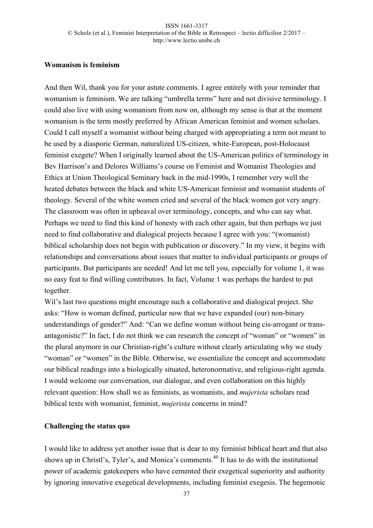# **Womanism is feminism**

And then Wil, thank you for your astute comments. I agree entirely with your reminder that womanism is feminism. We are talking "umbrella terms" here and not divisive terminology. I could also live with using womanism from now on, although my sense is that at the moment womanism is the term mostly preferred by African American feminist and women scholars. Could I call myself a womanist without being charged with appropriating a term not meant to be used by a diasporic German, naturalized US-citizen, white-European, post-Holocaust feminist exegete? When I originally learned about the US-American politics of terminology in Bev Harrison's and Delores Williams's course on Feminist and Womanist Theologies and Ethics at Union Theological Seminary back in the mid-1990s, I remember very well the heated debates between the black and white US-American feminist and womanist students of theology. Several of the white women cried and several of the black women got very angry. The classroom was often in upheaval over terminology, concepts, and who can say what. Perhaps we need to find this kind of honesty with each other again, but then perhaps we just need to find collaborative and dialogical projects because I agree with you: "(womanist) biblical scholarship does not begin with publication or discovery." In my view, it begins with relationships and conversations about issues that matter to individual participants or groups of participants. But participants are needed! And let me tell you, especially for volume 1, it was no easy feat to find willing contributors. In fact, Volume 1 was perhaps the hardest to put together.

Wil's last two questions might encourage such a collaborative and dialogical project. She asks: "How is woman defined, particular now that we have expanded (our) non-binary understandings of gender?" And: "Can we define woman without being cis-arrogant or transantagonistic?" In fact, I do not think we can research the concept of "woman" or "women" in the plural anymore in our Christian-right's culture without clearly articulating why we study "woman" or "women" in the Bible. Otherwise, we essentialize the concept and accommodate our biblical readings into a biologically situated, heteronormative, and religious-right agenda. I would welcome our conversation, our dialogue, and even collaboration on this highly relevant question: How shall we as feminists, as womanists, and *mujerista* scholars read biblical texts with womanist, feminist, *mujerista* concerns in mind?

# **Challenging the status quo**

I would like to address yet another issue that is dear to my feminist biblical heart and that also shows up in Christl's, Tyler's, and Monica's comments.<sup>40</sup> It has to do with the institutional power of academic gatekeepers who have cemented their exegetical superiority and authority by ignoring innovative exegetical developments, including feminist exegesis. The hegemonic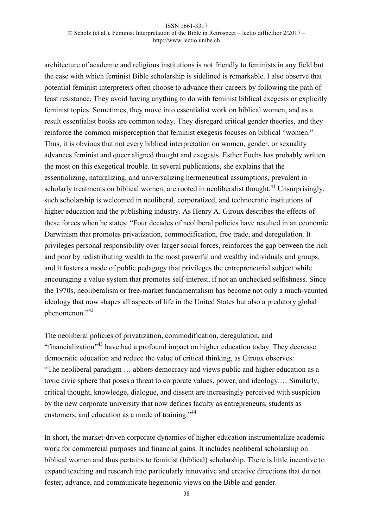architecture of academic and religious institutions is not friendly to feminists in any field but the ease with which feminist Bible scholarship is sidelined is remarkable. I also observe that potential feminist interpreters often choose to advance their careers by following the path of least resistance. They avoid having anything to do with feminist biblical exegesis or explicitly feminist topics. Sometimes, they move into essentialist work on biblical women, and as a result essentialist books are common today. They disregard critical gender theories, and they reinforce the common misperception that feminist exegesis focuses on biblical "women." Thus, it is obvious that not every biblical interpretation on women, gender, or sexuality advances feminist and queer aligned thought and exegesis. Esther Fuchs has probably written the most on this exegetical trouble. In several publications, she explains that the essentializing, naturalizing, and universalizing hermeneutical assumptions, prevalent in scholarly treatments on biblical women, are rooted in neoliberalist thought.<sup>41</sup> Unsurprisingly, such scholarship is welcomed in neoliberal, corporatized, and technocratic institutions of higher education and the publishing industry. As Henry A. Giroux describes the effects of these forces when he states: "Four decades of neoliberal policies have resulted in an economic Darwinism that promotes privatization, commodification, free trade, and deregulation. It privileges personal responsibility over larger social forces, reinforces the gap between the rich and poor by redistributing wealth to the most powerful and wealthy individuals and groups, and it fosters a mode of public pedagogy that privileges the entrepreneurial subject while encouraging a value system that promotes self-interest, if not an unchecked selfishness. Since the 1970s, neoliberalism or free-market fundamentalism has become not only a much-vaunted ideology that now shapes all aspects of life in the United States but also a predatory global phenomenon."<sup>42</sup>

The neoliberal policies of privatization, commodification, deregulation, and "financialization"43 have had a profound impact on higher education today. They decrease democratic education and reduce the value of critical thinking, as Giroux observes: "The neoliberal paradigm … abhors democracy and views public and higher education as a toxic civic sphere that poses a threat to corporate values, power, and ideology.… Similarly, critical thought, knowledge, dialogue, and dissent are increasingly perceived with suspicion by the new corporate university that now defines faculty as entrepreneurs, students as customers, and education as a mode of training."44

In short, the market-driven corporate dynamics of higher education instrumentalize academic work for commercial purposes and financial gains. It includes neoliberal scholarship on biblical women and thus pertains to feminist (biblical) scholarship. There is little incentive to expand teaching and research into particularly innovative and creative directions that do not foster, advance, and communicate hegemonic views on the Bible and gender.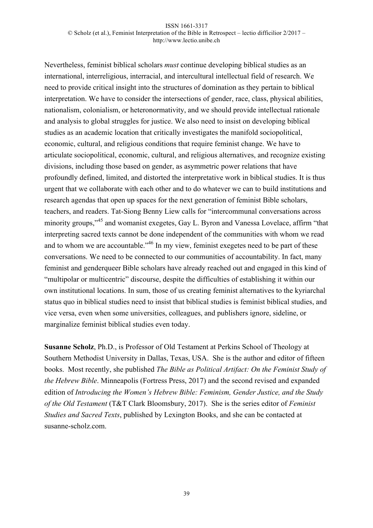Nevertheless, feminist biblical scholars *must* continue developing biblical studies as an international, interreligious, interracial, and intercultural intellectual field of research. We need to provide critical insight into the structures of domination as they pertain to biblical interpretation. We have to consider the intersections of gender, race, class, physical abilities, nationalism, colonialism, or heteronormativity, and we should provide intellectual rationale and analysis to global struggles for justice. We also need to insist on developing biblical studies as an academic location that critically investigates the manifold sociopolitical, economic, cultural, and religious conditions that require feminist change. We have to articulate sociopolitical, economic, cultural, and religious alternatives, and recognize existing divisions, including those based on gender, as asymmetric power relations that have profoundly defined, limited, and distorted the interpretative work in biblical studies. It is thus urgent that we collaborate with each other and to do whatever we can to build institutions and research agendas that open up spaces for the next generation of feminist Bible scholars, teachers, and readers. Tat-Siong Benny Liew calls for "intercommunal conversations across minority groups,"<sup>45</sup> and womanist exegetes, Gay L. Byron and Vanessa Lovelace, affirm "that interpreting sacred texts cannot be done independent of the communities with whom we read and to whom we are accountable.<sup>46</sup> In my view, feminist exegetes need to be part of these conversations. We need to be connected to our communities of accountability. In fact, many feminist and genderqueer Bible scholars have already reached out and engaged in this kind of "multipolar or multicentric" discourse, despite the difficulties of establishing it within our own institutional locations. In sum, those of us creating feminist alternatives to the kyriarchal status quo in biblical studies need to insist that biblical studies is feminist biblical studies, and vice versa, even when some universities, colleagues, and publishers ignore, sideline, or marginalize feminist biblical studies even today.

**Susanne Scholz**, Ph.D., is Professor of Old Testament at Perkins School of Theology at Southern Methodist University in Dallas, Texas, USA. She is the author and editor of fifteen books. Most recently, she published *The Bible as Political Artifact: On the Feminist Study of the Hebrew Bible*. Minneapolis (Fortress Press, 2017) and the second revised and expanded edition of *Introducing the Women's Hebrew Bible: Feminism, Gender Justice, and the Study of the Old Testament* (T&T Clark Bloomsbury, 2017). She is the series editor of *Feminist Studies and Sacred Texts*, published by Lexington Books, and she can be contacted at susanne-scholz.com.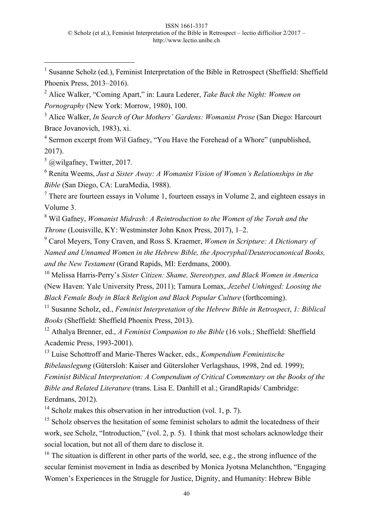<sup>1</sup> Susanne Scholz (ed.), Feminist Interpretation of the Bible in Retrospect (Sheffield: Sheffield) Phoenix Press, 2013–2016).

<sup>2</sup> Alice Walker, "Coming Apart," in: Laura Lederer, *Take Back the Night: Women on Pornography* (New York: Morrow, 1980), 100.

<sup>3</sup> Alice Walker, *In Search of Our Mothers' Gardens: Womanist Prose* (San Diego: Harcourt Brace Jovanovich, 1983), xi.

<sup>4</sup> Sermon excerpt from Wil Gafney, "You Have the Forehead of a Whore" (unpublished, 2017).

 $5 \omega$ wilgafney, Twitter, 2017.

l

<sup>6</sup> Renita Weems, *Just a Sister Away: A Womanist Vision of Women's Relationships in the Bible* (San Diego, CA: LuraMedia, 1988).

 $<sup>7</sup>$  There are fourteen essays in Volume 1, fourteen essays in Volume 2, and eighteen essays in</sup> Volume 3.

<sup>8</sup> Wil Gafney, *Womanist Midrash: A Reintroduction to the Women of the Torah and the Throne* (Louisville, KY: Westminster John Knox Press, 2017), 1–2.

<sup>9</sup> Carol Meyers, Tony Craven, and Ross S. Kraemer, *Women in Scripture: A Dictionary of Named and Unnamed Women in the Hebrew Bible, the Apocryphal/Deuterocanonical Books, and the New Testament* (Grand Rapids, MI: Eerdmans, 2000).

<sup>10</sup> Melissa Harris-Perry's *Sister Citizen: Shame, Stereotypes, and Black Women in America* (New Haven: Yale University Press, 2011); Tamura Lomax, *Jezebel Unhinged: Loosing the Black Female Body in Black Religion and Black Popular Culture* (forthcoming).

<sup>11</sup> Susanne Scholz, ed., *Feminist Interpretation of the Hebrew Bible in Retrospect*, *1: Biblical Books* (Sheffield: Sheffield Phoenix Press, 2013).

<sup>12</sup> Athalya Brenner, ed., *A Feminist Companion to the Bible* (16 vols.; Sheffield: Sheffield Academic Press, 1993-2001).

<sup>13</sup> Luise Schottroff and Marie-Theres Wacker, eds., *Kompendium Feministische Bibelauslegung* (Gütersloh: Kaiser and Gütersloher Verlagshaus, 1998, 2nd ed. 1999); *Feminist Biblical Interpretation: A Compendium of Critical Commentary on the Books of the Bible and Related Literature* (trans. Lisa E. Danhill et al.; GrandRapids/ Cambridge: Eerdmans, 2012).

<sup>14</sup> Scholz makes this observation in her introduction (vol. 1, p. 7).

<sup>15</sup> Scholz observes the hesitation of some feminist scholars to admit the locatedness of their work, see Scholz, "Introduction," (vol. 2, p. 5). I think that most scholars acknowledge their social location, but not all of them dare to disclose it.

<sup>16</sup> The situation is different in other parts of the world, see, e.g., the strong influence of the secular feminist movement in India as described by Monica Jyotsna Melanchthon, "Engaging Women's Experiences in the Struggle for Justice, Dignity, and Humanity: Hebrew Bible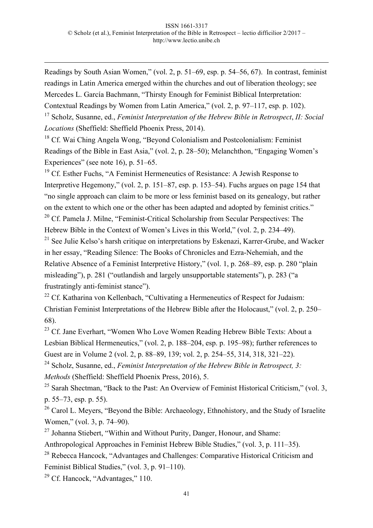Readings by South Asian Women," (vol. 2, p. 51–69, esp. p. 54–56, 67). In contrast, feminist readings in Latin America emerged within the churches and out of liberation theology; see Mercedes L. García Bachmann, "Thirsty Enough for Feminist Biblical Interpretation: Contextual Readings by Women from Latin America," (vol. 2, p. 97–117, esp. p. 102).

<sup>17</sup> Scholz, Susanne, ed., *Feminist Interpretation of the Hebrew Bible in Retrospect*, *II: Social Locations* (Sheffield: Sheffield Phoenix Press, 2014).

 $18$  Cf. Wai Ching Angela Wong, "Beyond Colonialism and Postcolonialism: Feminist Readings of the Bible in East Asia," (vol. 2, p. 28–50); Melanchthon, "Engaging Women's Experiences" (see note 16), p. 51–65.

 $19$  Cf. Esther Fuchs, "A Feminist Hermeneutics of Resistance: A Jewish Response to Interpretive Hegemony," (vol. 2, p. 151–87, esp. p. 153–54). Fuchs argues on page 154 that "no single approach can claim to be more or less feminist based on its genealogy, but rather on the extent to which one or the other has been adapted and adopted by feminist critics."  $20$  Cf. Pamela J. Milne, "Feminist-Critical Scholarship from Secular Perspectives: The Hebrew Bible in the Context of Women's Lives in this World," (vol. 2, p. 234–49).

 $21$  See Julie Kelso's harsh critique on interpretations by Eskenazi, Karrer-Grube, and Wacker in her essay, "Reading Silence: The Books of Chronicles and Ezra-Nehemiah, and the Relative Absence of a Feminist Interpretive History," (vol. 1, p. 268–89, esp. p. 280 "plain misleading"), p. 281 ("outlandish and largely unsupportable statements"), p. 283 ("a frustratingly anti-feminist stance").

<sup>22</sup> Cf. Katharina von Kellenbach, "Cultivating a Hermeneutics of Respect for Judaism: Christian Feminist Interpretations of the Hebrew Bible after the Holocaust," (vol. 2, p. 250– 68).

<sup>23</sup> Cf. Jane Everhart, "Women Who Love Women Reading Hebrew Bible Texts: About a Lesbian Biblical Hermeneutics," (vol. 2, p. 188–204, esp. p. 195–98); further references to Guest are in Volume 2 (vol. 2, p. 88–89, 139; vol. 2, p. 254–55, 314, 318, 321–22).

<sup>24</sup> Scholz, Susanne, ed., *Feminist Interpretation of the Hebrew Bible in Retrospect, 3: Methods* (Sheffield: Sheffield Phoenix Press, 2016), 5.

<sup>25</sup> Sarah Shectman, "Back to the Past: An Overview of Feminist Historical Criticism," (vol. 3, p. 55–73, esp. p. 55).

<sup>26</sup> Carol L. Meyers, "Beyond the Bible: Archaeology, Ethnohistory, and the Study of Israelite Women," (vol. 3, p. 74–90).

 $27$  Johanna Stiebert, "Within and Without Purity, Danger, Honour, and Shame:

Anthropological Approaches in Feminist Hebrew Bible Studies," (vol. 3, p. 111–35).

<sup>28</sup> Rebecca Hancock, "Advantages and Challenges: Comparative Historical Criticism and Feminist Biblical Studies," (vol. 3, p. 91–110).

<sup>29</sup> Cf. Hancock, "Advantages," 110.

-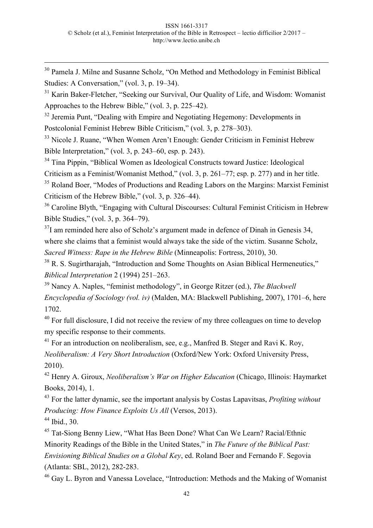<sup>30</sup> Pamela J. Milne and Susanne Scholz, "On Method and Methodology in Feminist Biblical Studies: A Conversation," (vol. 3, p. 19–34).

 $31$  Karin Baker-Fletcher, "Seeking our Survival, Our Quality of Life, and Wisdom: Womanist Approaches to the Hebrew Bible," (vol. 3, p. 225–42).

 $32$  Jeremia Punt, "Dealing with Empire and Negotiating Hegemony: Developments in Postcolonial Feminist Hebrew Bible Criticism," (vol. 3, p. 278–303).

<sup>33</sup> Nicole J. Ruane, "When Women Aren't Enough: Gender Criticism in Feminist Hebrew Bible Interpretation," (vol. 3, p. 243–60, esp. p. 243).

<sup>34</sup> Tina Pippin, "Biblical Women as Ideological Constructs toward Justice: Ideological

Criticism as a Feminist/Womanist Method," (vol. 3, p. 261–77; esp. p. 277) and in her title.

<sup>35</sup> Roland Boer, "Modes of Productions and Reading Labors on the Margins: Marxist Feminist Criticism of the Hebrew Bible," (vol. 3, p. 326–44).

<sup>36</sup> Caroline Blyth, "Engaging with Cultural Discourses: Cultural Feminist Criticism in Hebrew Bible Studies," (vol. 3, p. 364–79).

 $37$ I am reminded here also of Scholz's argument made in defence of Dinah in Genesis 34, where she claims that a feminist would always take the side of the victim. Susanne Scholz, *Sacred Witness: Rape in the Hebrew Bible* (Minneapolis: Fortress, 2010), 30.

<sup>38</sup> R. S. Sugirtharajah, "Introduction and Some Thoughts on Asian Biblical Hermeneutics," *Biblical Interpretation* 2 (1994) 251–263.

<sup>39</sup> Nancy A. Naples, "feminist methodology", in George Ritzer (ed.), *The Blackwell Encyclopedia of Sociology (vol. iv)* (Malden, MA: Blackwell Publishing, 2007), 1701–6, here 1702.

 $40$  For full disclosure, I did not receive the review of my three colleagues on time to develop my specific response to their comments.

<sup>41</sup> For an introduction on neoliberalism, see, e.g., Manfred B. Steger and Ravi K. Roy, *Neoliberalism: A Very Short Introduction* (Oxford/New York: Oxford University Press, 2010).

<sup>42</sup> Henry A. Giroux, *Neoliberalism's War on Higher Education* (Chicago, Illinois: Haymarket Books, 2014), 1.

<sup>43</sup> For the latter dynamic, see the important analysis by Costas Lapavitsas, *Profiting without Producing: How Finance Exploits Us All* (Versos, 2013).

<sup>44</sup> Ibid., 30.

-

<sup>45</sup> Tat-Siong Benny Liew, "What Has Been Done? What Can We Learn? Racial/Ethnic Minority Readings of the Bible in the United States," in *The Future of the Biblical Past: Envisioning Biblical Studies on a Global Key*, ed. Roland Boer and Fernando F. Segovia (Atlanta: SBL, 2012), 282-283.

<sup>46</sup> Gay L. Byron and Vanessa Lovelace, "Introduction: Methods and the Making of Womanist